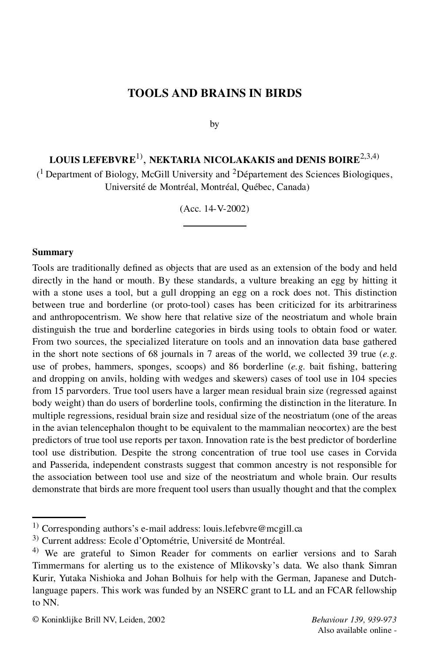## **TOOLS AND BRAINS IN BIRDS**

by

# **LOUIS LEFEBVRE** 1), **NEKTARIA NICOLAKAKIS and DENIS BOIRE** 2,3,4)

 $($ <sup>1</sup> Department of Biology, McGill University and <sup>2</sup>Département des Sciences Biologiques, Université de Montréal, Montréal, Québec, Canada)

(Acc. 14-V-2002)

#### **Summary**

Tools are traditionally defined as objects that are used as an extension of the body and held directly in the hand or mouth. By these standards, a vulture breaking an egg by hitting it with a stone uses a tool, but a gull dropping an egg on a rock does not. This distinction between true and borderline (or proto-tool) cases has been criticized for its arbitrariness and anthropocentrism. We show here that relative size of the neostriatum and whole brain distinguish the true and borderline categories in birds using tools to obtain food or water. From two sources, the specialized literature on tools and an innovation data base gathered in the short note sections of 68 journals in 7 areas of the world, we collected 39 true (*e.g*. use of probes, hammers, sponges, scoops) and 86 borderline (*e.g.* bait fishing, battering and dropping on anvils, holding with wedges and skewers) cases of tool use in 104 species from 15 parvorders. True tool users have a larger mean residual brain size (regressed against body weight) than do users of borderline tools, confirming the distinction in the literature. In multiple regressions, residual brain size and residual size of the neostriatum (one of the areas in the avian telencephalon thought to be equivalent to the mammalian neocortex) are the best predictors of true tool use reports per taxon. Innovation rate is the best predictor of borderline tool use distribution. Despite the strong concentration of true tool use cases in Corvida and Passerida, independent constrasts suggest that common ancestry is not responsible for the association between tool use and size of the neostriatum and whole brain. Our results demonstrate that birds are more frequent tool users than usually thought and that the complex

© Koninklijke Brill NV, Leiden, 2002 *Behaviour 139, 939-973*

Also available online -

<sup>&</sup>lt;sup>1)</sup> Corresponding authors's e-mail address: louis.lefebvre@mcgill.ca

<sup>3)</sup> Current address: Ecole d'Optométrie, Université de Montréal.

<sup>&</sup>lt;sup>4)</sup> We are grateful to Simon Reader for comments on earlier versions and to Sarah Timmermans for alerting us to the existence of Mlikovsky's data. We also thank Simran Kurir, Yutaka Nishioka and Johan Bolhuis for help with the German, Japanese and Dutchlanguage papers. This work was funded by an NSERC grant to LL and an FCAR fellowship to NN.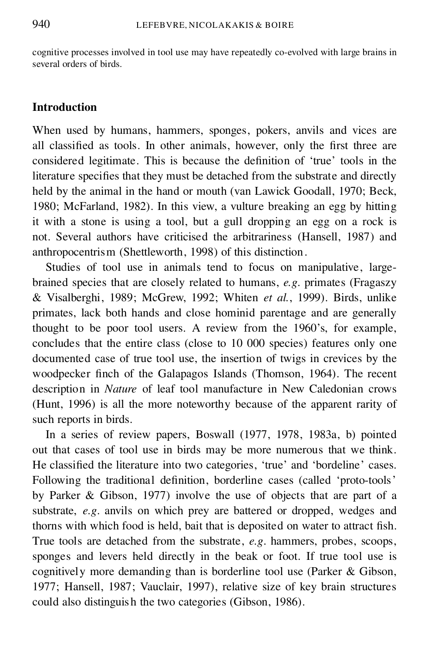cognitive processes involved in tool use may have repeatedly co-evolved with large brains in several orders of birds.

## **Introduction**

When used by humans, hammers, sponges, pokers, anvils and vices are all classified as tools. In other animals, however, only the first three are considered legitimate. This is because the definition of 'true' tools in the literature specifies that they must be detached from the substrate and directly held by the animal in the hand or mouth (van Lawick Goodall, 1970; Beck, 1980; McFarland, 1982). In this view, a vulture breaking an egg by hitting it with a stone is using a tool, but a gull dropping an egg on a rock is not. Several authors have criticised the arbitrariness (Hansell, 1987) and anthropocentrism (Shettleworth, 1998) of this distinction.

Studies of tool use in animals tend to focus on manipulative, large brained species that are closely related to humans, *e.g*. primates (Fragaszy & Visalberghi, 1989; McGrew, 1992; Whiten *et al.*, 1999). Birds, unlike primates, lack both hands and close hominid parentage and are generally thought to be poor tool users. A review from the 1960's, for example, concludes that the entire class (close to 10 000 species) features only one documented case of true tool use, the insertion of twigs in crevices by the woodpecker finch of the Galapagos Islands (Thomson, 1964). The recent description in *Nature* of leaf tool manufacture in New Caledonian crows (Hunt, 1996) is all the more noteworthy because of the apparent rarity of such reports in birds.

In a series of review papers, Boswall (1977, 1978, 1983a, b) pointed out that cases of tool use in birds may be more numerous that we think. He classified the literature into two categories, 'true' and 'bordeline' cases. Following the traditional definition, borderline cases (called 'proto-tools' by Parker & Gibson, 1977) involve the use of objects that are part of a substrate, *e.g*. anvils on which prey are battered or dropped, wedges and thorns with which food is held, bait that is deposited on water to attract fish. True tools are detached from the substrate, *e.g*. hammers, probes, scoops, sponges and levers held directly in the beak or foot. If true tool use is cognitively more demanding than is borderline tool use (Parker & Gibson, 1977; Hansell, 1987; Vauclair, 1997), relative size of key brain structures could also distinguish the two categories (Gibson, 1986).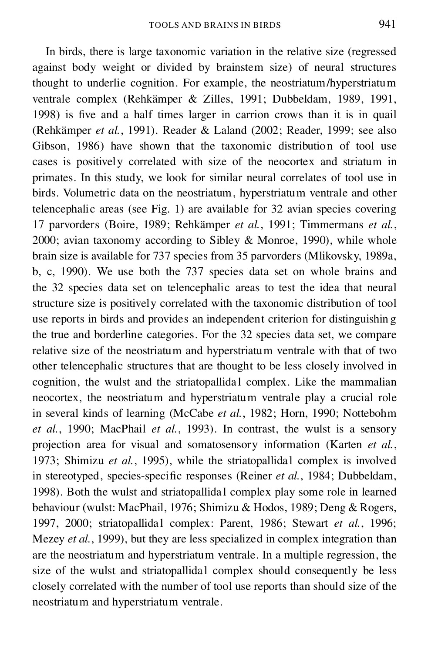In birds, there is large taxonomic variation in the relative size (regressed against body weight or divided by brainstem size) of neural structures thought to underlie cognition. For example, the neostriatum/hyperstriatum ventrale complex (Rehkämper & Zilles, 1991; Dubbeldam, 1989, 1991, 1998) is five and a half times larger in carrion crows than it is in quail (Rehkämper *et al.*, 1991). Reader & Laland (2002; Reader, 1999; see also Gibson, 1986) have shown that the taxonomic distribution of tool use cases is positively correlated with size of the neocortex and striatum in primates. In this study, we look for similar neural correlates of tool use in birds. Volumetric data on the neostriatum, hyperstriatum ventrale and other telencephalic areas (see Fig. 1) are available for 32 avian species covering 17 parvorders (Boire, 1989; Rehkämper *et al.*, 1991; Timmermans *et al.*, 2000; avian taxonomy according to Sibley & Monroe, 1990), while whole brain size is available for 737 species from 35 parvorders (Mlikovsky, 1989a, b, c, 1990). We use both the 737 species data set on whole brains and the 32 species data set on telencephalic areas to test the idea that neural structure size is positively correlated with the taxonomic distribution of tool use reports in birds and provides an independent criterion for distinguishin g the true and borderline categories. For the 32 species data set, we compare relative size of the neostriatum and hyperstriatum ventrale with that of two other telencephalic structures that are thought to be less closely involved in cognition, the wulst and the striatopallidal complex. Like the mammalian neocortex, the neostriatum and hyperstriatum ventrale play a crucial role in several kinds of learning (McCabe *et al.*, 1982; Horn, 1990; Nottebohm *et al.*, 1990; MacPhail *et al.*, 1993). In contrast, the wulst is a sensory projection area for visual and somatosensory information (Karten *et al.*, 1973; Shimizu et al., 1995), while the striatopallidal complex is involved in stereotyped, species-specific responses (Reiner *et al.*, 1984; Dubbeldam, 1998). Both the wulst and striatopallidal complex play some role in learned behaviour (wulst: MacPhail, 1976; Shimizu & Hodos, 1989; Deng & Rogers, 1997, 2000; striatopallida l complex: Parent, 1986; Stewart *et al.*, 1996; Mezey *et al.*, 1999), but they are less specialized in complex integration than are the neostriatum and hyperstriatum ventrale. In a multiple regression, the size of the wulst and striatopallidal complex should consequently be less closely correlated with the number of tool use reports than should size of the neostriatum and hyperstriatum ventrale.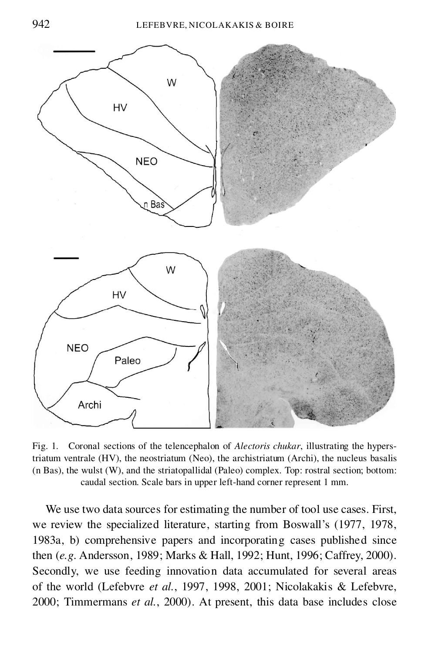

Fig. 1. Coronal sections of the telencephalon of *Alectoris chukar*, illustrating the hyperstriatum ventrale (HV), the neostriatum (Neo), the archistriatum (Archi), the nucleus basalis (n Bas), the wulst (W), and the striatopallidal (Paleo) complex. Top: rostral section; bottom: caudal section. Scale bars in upper left-hand corner represent 1 mm.

We use two data sources for estimating the number of tool use cases. First, we review the specialized literature, starting from Boswall's (1977, 1978, 1983a, b) comprehensive papers and incorporating cases published since then (*e.g*. Andersson, 1989; Marks & Hall, 1992; Hunt, 1996; Caffrey, 2000). Secondly, we use feeding innovation data accumulated for several areas of the world (Lefebvre *et al.*, 1997, 1998, 2001; Nicolakakis & Lefebvre, 2000; Timmermans *et al.*, 2000). At present, this data base includes close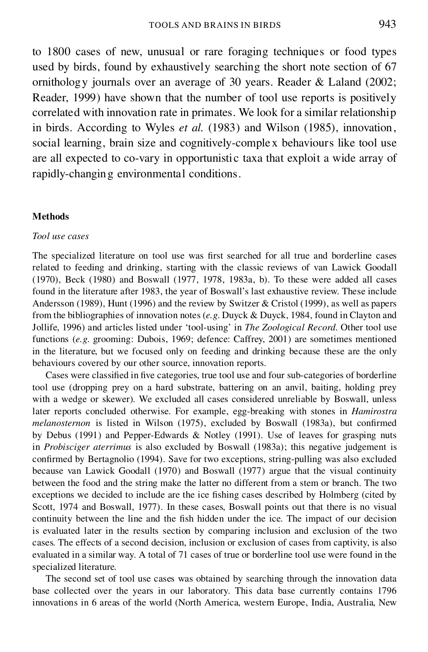to 1800 cases of new, unusual or rare foraging techniques or food types used by birds, found by exhaustively searching the short note section of 67 ornithology journals over an average of 30 years. Reader & Laland (2002; Reader, 1999) have shown that the number of tool use reports is positively correlated with innovation rate in primates. We look for a similar relationship in birds. According to Wyles *et al.* (1983) and Wilson (1985), innovation, social learning, brain size and cognitively-complex behaviours like tool use are all expected to co-vary in opportunistic taxa that exploit a wide array of rapidly-changing environmental conditions.

#### **Methods**

### *Tool use cases*

The specialized literature on tool use was first searched for all true and borderline cases related to feeding and drinking, starting with the classic reviews of van Lawick Goodall (1970), Beck (1980) and Boswall (1977, 1978, 1983a, b). To these were added all cases found in the literature after 1983, the year of Boswall's last exhaustive review. These include Andersson (1989), Hunt (1996) and the review by Switzer & Cristol (1999), as well as papers from the bibliographies of innovation notes (*e.g*. Duyck & Duyck, 1984, found in Clayton and Jollife, 1996) and articles listed under 'tool-using' in *The Zoological Record*. Other tool use functions (*e.g*. grooming: Dubois, 1969; defence: Caffrey, 2001) are sometimes mentioned in the literature, but we focused only on feeding and drinking because these are the only behaviours covered by our other source, innovation reports.

Cases were classified in five categories, true tool use and four sub-categories of borderline tool use (dropping prey on a hard substrate, battering on an anvil, baiting, holding prey with a wedge or skewer). We excluded all cases considered unreliable by Boswall, unless later reports concluded otherwise. For example, egg-breaking with stones in *Hamirostra melanosternon* is listed in Wilson (1975), excluded by Boswall (1983a), but confirmed by Debus (1991) and Pepper-Edwards & Notley (1991). Use of leaves for grasping nuts in *Probisciger aterrimus* is also excluded by Boswall (1983a); this negative judgement is confirmed by Bertagnolio (1994). Save for two exceptions, string-pulling was also excluded because van Lawick Goodall (1970) and Boswall (1977) argue that the visual continuity between the food and the string make the latter no different from a stem or branch. The two exceptions we decided to include are the ice fishing cases described by Holmberg (cited by Scott, 1974 and Boswall, 1977). In these cases, Boswall points out that there is no visual continuity between the line and the fish hidden under the ice. The impact of our decision is evaluated later in the results section by comparing inclusion and exclusion of the two cases. The effects of a second decision, inclusion or exclusion of cases from captivity, is also evaluated in a similar way. A total of 71 cases of true or borderline tool use were found in the specialized literature.

The second set of tool use cases was obtained by searching through the innovation data base collected over the years in our laboratory. This data base currently contains 1796 innovations in 6 areas of the world (North America, western Europe, India, Australia, New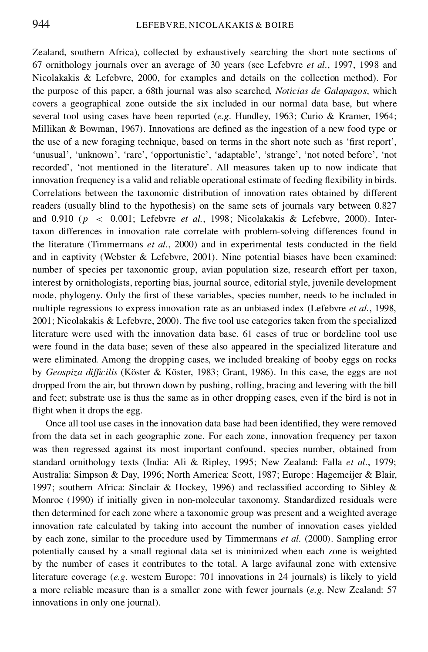Zealand, southern Africa), collected by exhaustively searching the short note sections of 67 ornithology journals over an average of 30 years (see Lefebvre *et al.*, 1997, 1998 and Nicolakakis & Lefebvre, 2000, for examples and details on the collection method). For the purpose of this paper, a 68th journal was also searched, *Noticias de Galapagos*, which covers a geographical zone outside the six included in our normal data base, but where several tool using cases have been reported (*e.g*. Hundley, 1963; Curio & Kramer, 1964; Millikan & Bowman, 1967). Innovations are defined as the ingestion of a new food type or the use of a new foraging technique, based on terms in the short note such as 'first report'. 'unusual', 'unknown', 'rare', 'opportunistic', 'adaptable', 'strange', 'not noted before', 'not recorded', 'not mentioned in the literature'. All measures taken up to now indicate that innovation frequency is a valid and reliable operational estimate of feeding flexibility in birds. Correlations between the taxonomic distribution of innovation rates obtained by different readers (usually blind to the hypothesis) on the same sets of journals vary between 0.827 and 0.910 (p < 0:001; Lefebvre *et al.*, 1998; Nicolakakis & Lefebvre, 2000). Intertaxon differences in innovation rate correlate with problem-solving differences found in the literature (Timmermans *et al.*, 2000) and in experimental tests conducted in the field and in captivity (Webster & Lefebvre, 2001). Nine potential biases have been examined: number of species per taxonomic group, avian population size, research effort per taxon, interest by ornithologists, reporting bias, journal source, editorial style, juvenile development mode, phylogeny. Only the first of these variables, species number, needs to be included in multiple regressions to express innovation rate as an unbiased index (Lefebvre *et al.*, 1998,  $2001$ ; Nicolakakis & Lefebvre, 2000). The five tool use categories taken from the specialized literature were used with the innovation data base. 61 cases of true or bordeline tool use were found in the data base; seven of these also appeared in the specialized literature and were eliminated. Among the dropping cases, we included breaking of booby eggs on rocks by *Geospiza dif cilis* (Köster & Köster, 1983; Grant, 1986). In this case, the eggs are not dropped from the air, but thrown down by pushing, rolling, bracing and levering with the bill and feet; substrate use is thus the same as in other dropping cases, even if the bird is not in flight when it drops the egg.

Once all tool use cases in the innovation data base had been identified, they were removed from the data set in each geographic zone. For each zone, innovation frequency per taxon was then regressed against its most important confound, species number, obtained from standard ornithology texts (India: Ali & Ripley, 1995; New Zealand: Falla *et al.*, 1979; Australia: Simpson & Day, 1996; North America: Scott, 1987; Europe: Hagemeijer & Blair, 1997; southern Africa: Sinclair & Hockey, 1996) and reclassified according to Sibley & Monroe (1990) if initially given in non-molecular taxonomy. Standardized residuals were then determined for each zone where a taxonomic group was present and a weighted average innovation rate calculated by taking into account the number of innovation cases yielded by each zone, similar to the procedure used by Timmermans *et al.* (2000). Sampling error potentially caused by a small regional data set is minimized when each zone is weighted by the number of cases it contributes to the total. A large avifaunal zone with extensive literature coverage (*e.g*. western Europe: 701 innovations in 24 journals) is likely to yield a more reliable measure than is a smaller zone with fewer journals (*e.g*. New Zealand: 57 innovations in only one journal).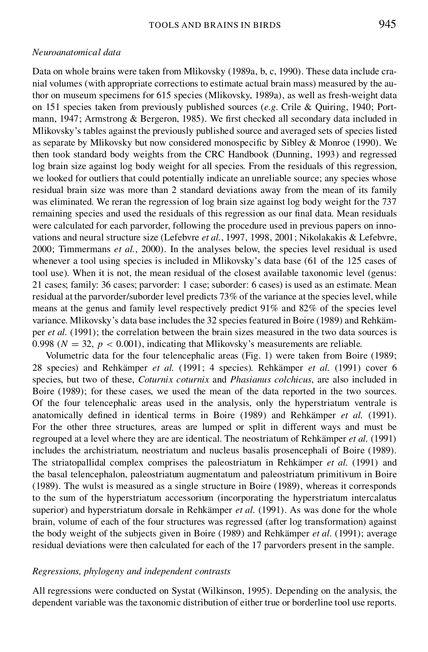#### *Neuroanatomical data*

Data on whole brains were taken from Mlikovsky (1989a, b, c, 1990). These data include cra nial volumes (with appropriate corrections to estimate actual brain mass) measured by the author on museum specimens for 615 species (Mlikovsky, 1989a), as well as fresh-weight data on 151 species taken from previously published sources (*e.g*. Crile & Quiring, 1940; Port mann, 1947; Armstrong & Bergeron, 1985). We first checked all secondary data included in Mlikovsky's tables against the previously published source and averaged sets of species listed as separate by Mlikovsky but now considered monospecific by Sibley & Monroe (1990). We then took standard body weights from the CRC Handbook (Dunning, 1993) and regressed log brain size against log body weight for all species. From the residuals of this regression, we looked for outliers that could potentially indicate an unreliable source; any species whose residual brain size was more than 2 standard deviations away from the mean of its family was eliminated. We reran the regression of log brain size against log body weight for the 737 remaining species and used the residuals of this regression as our final data. Mean residuals were calculated for each parvorder, following the procedure used in previous papers on inno vations and neural structure size (Lefebvre *et al.*, 1997, 1998, 2001; Nikolakakis & Lefebvre, 2000; Timmermans *et al.*, 2000). In the analyses below, the species level residual is used whenever a tool using species is included in Mlikovsky's data base (61 of the 125 cases of tool use). When it is not, the mean residual of the closest available taxonomic level (genus: 21 cases; family: 36 cases; parvorder: 1 case; suborder: 6 cases) is used as an estimate. Mean residual at the parvorder/suborder level predicts 73% of the variance at the species level, while means at the genus and family level respectively predict 91% and 82% of the species level variance. Mlikovsky's data base includes the 32 species featured in Boire (1989) and Rehkäm per *et al.* (1991); the correlation between the brain sizes measured in the two data sources is 0.998 ( $N = 32$ ,  $p < 0.001$ ), indicating that Mlikovsky's measurements are reliable.<br>Volumetric data for the four telencephalic areas (Fig. 1) were taken from Boire (1989;

28 species) and Rehkämper *et al.* (1991; 4 species). Rehkämper *et al.* (1991) cover 6 species, but two of these, *Coturnix coturnix* and *Phasianus colchicus*, are also included in Boire (1989); for these cases, we used the mean of the data reported in the two sources. Of the four telencephalic areas used in the analysis, only the hyperstriatum ventrale is anatomically defined in identical terms in Boire (1989) and Rehkämper *et al.* (1991). For the other three structures, areas are lumped or split in different ways and must be regrouped at a level where they are are identical. The neostriatum of Rehkämper *et al.* (1991) includes the archistriatum, neostriatum and nucleus basalis prosencephali of Boire (1989). The striatopallidal complex comprises the paleostriatum in Rehkämper *et al.* (1991) and the basal telencephalon, paleostriatum augmentatum and paleostriatum primitivum in Boire (1989). The wulst is measured as a single structure in Boire (1989), whereas it corresponds to the sum of the hyperstriatum accessorium (incorporating the hyperstriatum intercalatus superior) and hyperstriatum dorsale in Rehkämper *et al.* (1991). As was done for the whole brain, volume of each of the four structures was regressed (after log transformation) against the body weight of the subjects given in Boire (1989) and Rehkämper *et al.* (1991); average residual deviations were then calculated for each of the 17 parvorders present in the sample.

### *Regressions, phylogeny and independent contrasts*

All regressions were conducted on Systat (Wilkinson, 1995). Depending on the analysis, the dependent variable was the taxonomic distribution of either true or borderline tool use reports.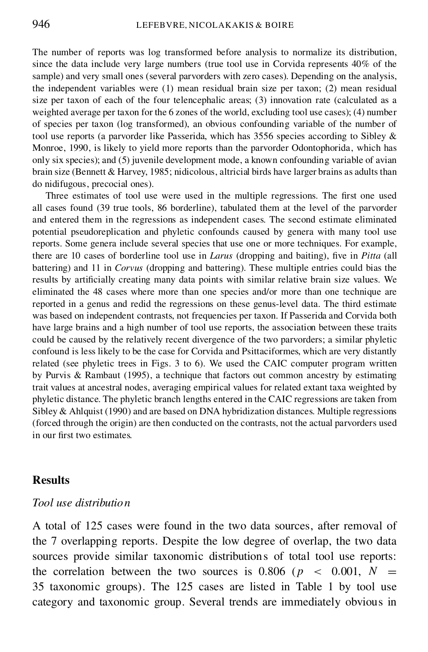The number of reports was log transformed before analysis to normalize its distribution, since the data include very large numbers (true tool use in Corvida represents 40% of the sample) and very small ones (several parvorders with zero cases). Depending on the analysis, the independent variables were (1) mean residual brain size per taxon; (2) mean residual size per taxon of each of the four telencephalic areas; (3) innovation rate (calculated as a weighted average per taxon for the 6 zones of the world, excluding tool use cases); (4) number of species per taxon (log transformed), an obvious confounding variable of the number of tool use reports (a parvorder like Passerida, which has 3556 species according to Sibley & Monroe, 1990, is likely to yield more reports than the parvorder Odontophorida, which has only six species); and (5) juvenile development mode, a known confounding variable of avian brain size (Bennett & Harvey, 1985; nidicolous, altricial birds have larger brains as adults than do nidifugous, precocial ones).

Three estimates of tool use were used in the multiple regressions. The first one used all cases found (39 true tools, 86 borderline), tabulated them at the level of the parvorder and entered them in the regressions as independent cases. The second estimate eliminated potential pseudoreplication and phyletic confounds caused by genera with many tool use reports. Some genera include several species that use one or more techniques. For example, there are 10 cases of borderline tool use in *Larus* (dropping and baiting), five in *Pitta* (all battering) and 11 in *Corvus* (dropping and battering). These multiple entries could bias the results by artificially creating many data points with similar relative brain size values. We eliminated the 48 cases where more than one species and/or more than one technique are reported in a genus and redid the regressions on these genus-level data. The third estimate was based on independent contrasts, not frequencies per taxon. If Passerida and Corvida both have large brains and a high number of tool use reports, the association between these traits could be caused by the relatively recent divergence of the two parvorders; a similar phyletic confound is less likely to be the case for Corvida and Psittaciformes, which are very distantly related (see phyletic trees in Figs. 3 to 6). We used the CAIC computer program written by Purvis & Rambaut (1995), a technique that factors out common ancestry by estimating trait values at ancestral nodes, averaging empirical values for related extant taxa weighted by phyletic distance. The phyletic branch lengths entered in the CAIC regressions are taken from Sibley & Ahlquist (1990) and are based on DNA hybridization distances. Multiple regressions (forced through the origin) are then conducted on the contrasts, not the actual parvorders used in our first two estimates.

## **Results**

## *Tool use distribution*

A total of 125 cases were found in the two data sources, after removal of the 7 overlapping reports. Despite the low degree of overlap, the two data sources provide similar taxonomic distributions of total tool use reports: the correlation between the two sources is 0.806 ( $p \le 0.001$ ,  $N =$ 35 taxonomic groups). The 125 cases are listed in Table 1 by tool use category and taxonomic group. Several trends are immediately obvious in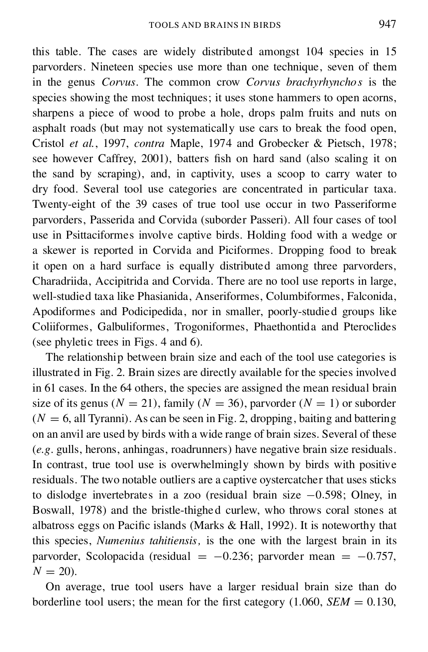this table. The cases are widely distributed amongst 104 species in 15 parvorders. Nineteen species use more than one technique, seven of them in the genus *Corvus*. The common crow *Corvus brachyrhynchos* is the species showing the most techniques; it uses stone hammers to open acorns, sharpens a piece of wood to probe a hole, drops palm fruits and nuts on asphalt roads (but may not systematically use cars to break the food open, Cristol *et al.*, 1997, *contra* Maple, 1974 and Grobecker & Pietsch, 1978; see however Caffrey, 2001), batters fish on hard sand (also scaling it on the sand by scraping), and, in captivity, uses a scoop to carry water to dry food. Several tool use categories are concentrated in particular taxa. Twenty-eight of the 39 cases of true tool use occur in two Passeriforme parvorders, Passerida and Corvida (suborder Passeri). All four cases of tool use in Psittaciformes involve captive birds. Holding food with a wedge or a skewer is reported in Corvida and Piciformes. Dropping food to break it open on a hard surface is equally distributed among three parvorders, Charadriida, Accipitrida and Corvida. There are no tool use reports in large, well-studied taxa like Phasianida, Anseriformes, Columbiformes, Falconida, Apodiformes and Podicipedida, nor in smaller, poorly-studied groups like Coliiformes, Galbuliformes, Trogoniformes, Phaethontida and Pteroclides (see phyletic trees in Figs. 4 and 6).

The relationship between brain size and each of the tool use categories is illustrated in Fig. 2. Brain sizes are directly available for the species involved in 61 cases. In the 64 others, the species are assigned the mean residual brain size of its genus ( $N = 21$ ), family ( $N = 36$ ), parvorder ( $N = 1$ ) or suborder  $(N = 6$ , all Tyranni). As can be seen in Fig. 2, dropping, baiting and battering on an anvil are used by birds with a wide range of brain sizes. Several of these (*e.g*. gulls, herons, anhingas, roadrunners) have negative brain size residuals. In contrast, true tool use is overwhelmingly shown by birds with positive residuals. The two notable outliers are a captive oystercatcher that uses sticks to dislodge invertebrates in a zoo (residual brain size  $-0.598$ ; Olney, in Boswall, 1978) and the bristle-thighed curlew, who throws coral stones at albatross eggs on Pacific islands (Marks  $& Hall$ , 1992). It is noteworthy that this species, *Numenius tahitiensis,* is the one with the largest brain in its parvorder, Scolopacida (residual =  $-0.236$ ; parvorder mean =  $-0.757$ ,  $N = 20$ ).

On average, true tool users have a larger residual brain size than do borderline tool users; the mean for the first category  $(1.060, SEM = 0.130,$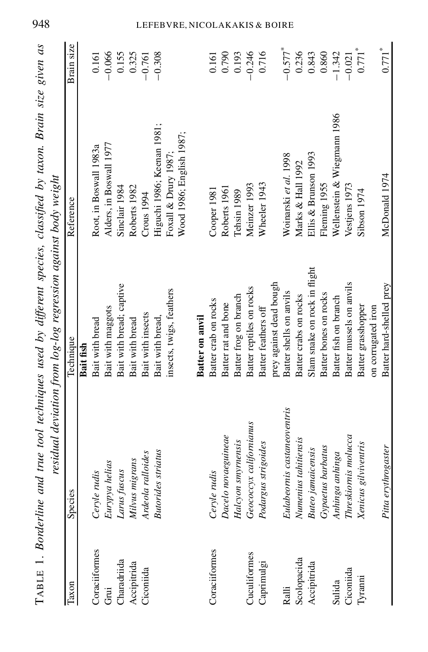|               |                             | residual deviation from log-log regression against body weight | TABLE 1. Borderline and true tool techniques used by different species, classified by taxon. Brain size given as |                       |
|---------------|-----------------------------|----------------------------------------------------------------|------------------------------------------------------------------------------------------------------------------|-----------------------|
| Taxon         | Species                     | Technique                                                      | Reference                                                                                                        | Brain size            |
|               |                             | Bait fish                                                      |                                                                                                                  |                       |
| Coraciiformes | Ceryle rudis                | Bait with bread                                                | Root, in Boswall 1983a                                                                                           | 0.161                 |
| نة<br>Gri     | Eurypya helias              | Bait with maggots                                              | Alders, in Boswall 1977                                                                                          | $-0.066$              |
| Charadriida   | Larus fuscus                | Bait with bread; captive                                       | Sinclair 1984                                                                                                    | 0.155                 |
| Accipitrida   | Milvus migrans              | Bait with bread                                                | Roberts 1982                                                                                                     | 0.325                 |
| Ciconiida     | Ardeola ralloides           | Bait with insects                                              | Crous 1994                                                                                                       | $-0.761$              |
|               | <b>Butorides striatus</b>   | Bait with bread,                                               | Higuchi 1986; Keenan 1981;                                                                                       | $-0.308$              |
|               |                             | insects, twigs, feathers                                       | Foxall & Drury 1987;                                                                                             |                       |
|               |                             |                                                                | Wood 1986; English 1987;                                                                                         |                       |
|               |                             | Batter on anvil                                                |                                                                                                                  |                       |
| Coraciiformes | Ceryle rudis                | Batter crab on rocks                                           | Cooper 1981                                                                                                      | 0.161                 |
|               | Dacelo novaeguineae         | Batter rat and bone                                            | Roberts 1961                                                                                                     | 0.790                 |
|               | Halcyon smymensis           | Batter frog on branch                                          | Tehsin 1989                                                                                                      | 0.193                 |
| Cuculiformes  | Geococcyx californianus     | Batter reptiles on rocks                                       | Meinzer 1993                                                                                                     | $-0.246$              |
| Caprimulgi    | Podargus strigoides         | Batter feathers off                                            | Wheeler 1943                                                                                                     | 0.716                 |
|               |                             | prey against dead bough                                        |                                                                                                                  |                       |
| Ralli         | Eulabeornis castaneoventris | Batter shells on anvils                                        | Woinarski et al. 1998                                                                                            | $-0.577$ <sup>*</sup> |
| Scolopacida   | Numenius tahitiensis        | Batter crabs on rocks                                          | Marks & Hall 1992                                                                                                | 0.236                 |
| Accipitrida   | <b>Buteo</b> jamaicensis    | Slam snake on rock in flight                                   | Ellis & Brunson 1993                                                                                             | 0.843                 |
|               | Gypaetus barbatus           | Batter bones on rocks                                          | Fleming 1955                                                                                                     | 0.860                 |
| Sulida        | Anhinga anhinga             | Batter fish on branch                                          | Wellenstein & Wiegmann 1986                                                                                      | $-1.342$              |
| Ciconiida     | Threskiornis molucca        | Batter mussels on anvils                                       | Vestjens 1973                                                                                                    | $-0.021$              |
| Tyranni       | Xenicus gilviventris        | Batter grasshopper                                             | Sibson 1974                                                                                                      | $0.771^\ast$          |
|               |                             | on corrugated iron                                             |                                                                                                                  |                       |
|               | Pitta erythrogaster         | Batter hard-shelled prey                                       | McDonald 1974                                                                                                    | $0.771$ <sup>*</sup>  |
|               |                             |                                                                |                                                                                                                  |                       |

# 948 LEFEBVRE, NICOLAKAKIS & BOIRE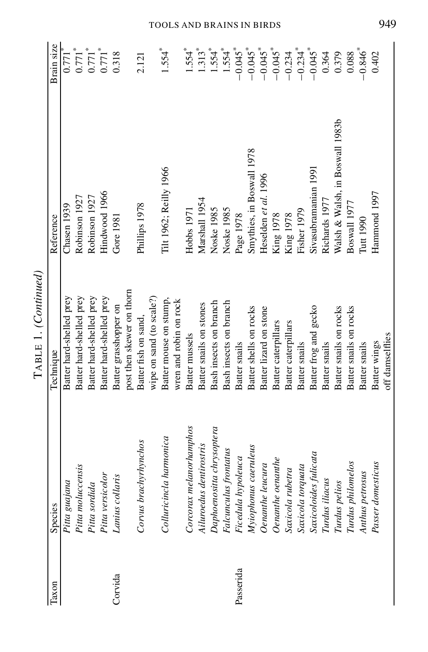|           |                           | TABLE 1. (Continued)            |                                 |                                   |
|-----------|---------------------------|---------------------------------|---------------------------------|-----------------------------------|
| Taxon     | Species                   | Technique                       | Reference                       | Brain size                        |
|           | Pitta guajana             | Batter hard-shelled prey        | Chasen 1939                     | $0.771$ <sup>*</sup>              |
|           | Pitta moluccensis         | Batter hard-shelled prey        | Robinson 1927                   | $0.771$ <sup>*</sup>              |
|           | Pitta sordida             | Batter hard-shelled prey        | Robinson 1927                   |                                   |
|           | Pitta versicolor          | Batter hard-shelled prey        | Hindwood 1966                   | $0.771$ <sup>*</sup>              |
| Corvida   | Lanius collaris           | Batter grasshopper on           | Gore 1981                       | 0.318                             |
|           |                           | post then skewer on thorn       |                                 |                                   |
|           | Corvus brachyrhynchos     | Batter fish on sand,            | Phillips 1978                   | 2.121                             |
|           |                           | wipe on sand (to scale?)        |                                 |                                   |
|           | Colluricincla harmonica   | Batter mouse on stump,          | Tilt 1962; Reilly 1966          | $1.554$ <sup>*</sup>              |
|           |                           | wren and robin on rock          |                                 |                                   |
|           | Corcorax melanorhamphos   | Batter mussels                  | Hobbs 1971                      | $1.554*$                          |
|           | Ailuroedus dentirostris   | Batter snails on stones         | Marshall 1954                   | $1.313*$                          |
|           | Daphoenositta chrysoptera | Bash insects on branch          | Noske 1985                      | $1.554$ <sup>*</sup>              |
|           | Falcunculus frontatus     | Bash insects on branch          | Noske 1985                      | $1.554*$                          |
| Passerida | Ficedula hypoleuca        | Batter snails                   | Page 1978                       | $-0.045$ <sup>*</sup>             |
|           | Myiophonus caeruleus      | Batter shells on rocks          | Smythies, in Boswall 1978       | $-0.045$ <sup>*</sup>             |
|           | Oenanthe leucura          | Batter lizard on stone          | Heselden et al. 1996            | $-0.045$ <sup>*</sup>             |
|           | Oenanthe oenanthe         | Batter caterpillars             | King 1978                       | $-0.045$ <sup>*</sup>             |
|           | Saxicola rubetra          | Batter caterpillars             | King 1978                       |                                   |
|           | Saxicola torquata         | Batter snails                   | Fisher 1979                     | $-0.234$<br>$-0.234$ <sup>*</sup> |
|           | Saxicoloides fulicata     | Batter frog and gecko           | Sivasubramanian 1991            | $-0.045$ <sup>*</sup>             |
|           | Turdus iliacus            | Batter snails                   | Richards 1977                   | 0.364                             |
|           | Turdus pelios             | Batter snails on rocks          | Walsh & Walsh, in Boswall 1983b | 0.379                             |
|           | Turdus philomelos         | Batter snails on rocks          | Boswall 1977                    | 0.088                             |
|           | Anthus petrosus           | Batter snails                   | Tutt 1990                       | $-0.846$ <sup>*</sup>             |
|           | Passer domesticus         | off damselflies<br>Batter wings | Hammond 1997                    | 0.402                             |
|           |                           |                                 |                                 |                                   |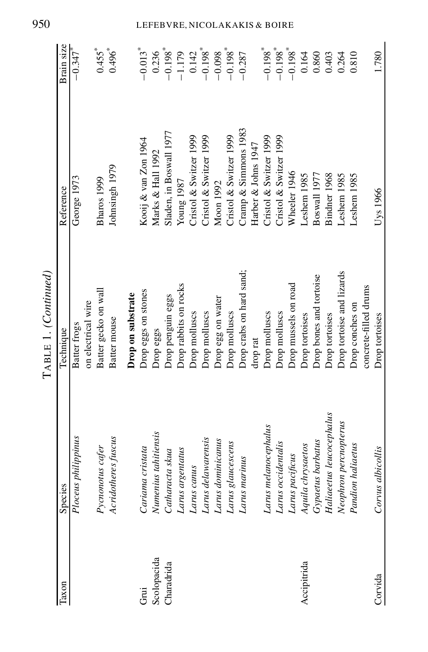| Taxon       | Species                  |                           |                         |                       |
|-------------|--------------------------|---------------------------|-------------------------|-----------------------|
|             |                          | Technique                 | Reference               | Brain size            |
|             | Ploceus philippinus      | Batter frogs              | George 1973             | $-0.347$ <sup>*</sup> |
|             |                          | on electrical wire        |                         |                       |
|             | Pycnonotus cafer         | Batter gecko on wall      | Bharos 1999             | $0.455$ <sup>*</sup>  |
|             | Acridotheres fuscus      | Batter mouse              | Johnsingh 1979          | $0.496^{*}$           |
|             |                          | Drop on substrate         |                         |                       |
| Grui        | Cariama cristata         | Drop eggs on stones       | Kooij & van Zon 1964    | $-0.013$ <sup>*</sup> |
| Scolopacida | Numenius tahitiensis     | Drop eggs                 | Marks & Hall 1992       | 0.236                 |
| Charadrida  | Catharacta skua          | Drop penguin eggs         | Sladen, in Boswall 1977 | $-0.198$ <sup>*</sup> |
|             | Larus argentatus         | Drop rabbits on rocks     | Young 1987              | $-1.179$              |
|             | Larus canus              | Drop molluscs             | Cristol & Switzer 1999  | 0.142                 |
|             | Larus delawarensis       | Drop molluscs             | Cristol & Switzer 1999  | $-0.198$ <sup>*</sup> |
|             | Larus dominicanus        | Drop egg on water         | Moon 1992               | $-0.098$              |
|             | Larus glaucescens        | Drop molluscs             | Cristol & Switzer 1999  | $-0.198$ <sup>*</sup> |
|             | Larus marinus            | Drop crabs on hard sand;  | Cramp & Simmons 1983    | $-0.287$              |
|             |                          | drop rat                  | Harber & Johns 1947     |                       |
|             | Larus melanocephalus     | Drop molluscs             | Cristol & Switzer 1999  | $-0.198$ <sup>*</sup> |
|             | Larus occidentalis       | Drop molluscs             | Cristol & Switzer 1999  | $-0.198$ <sup>*</sup> |
|             | Larus pacificus          | Drop mussels on road      | Wheeler 1946            | $-0.198$ <sup>*</sup> |
| Accipitrida | Aquila chrysaetos        | Drop tortoises            | Leshem 1985             | 0.164                 |
|             | Gypaetus barbatus        | Drop bones and tortoise   | Boswall 1977            | 0.860                 |
|             | Haliaeetus leucocephalus | Drop tortoises            | Bindner 1968            | 0.403                 |
|             | Neophron percnopterus    | Drop tortoise and lizards | Leshem 1985             | 0.264                 |
|             | Pandion haliaetus        | Drop conches on           | Leshem 1985             | 0.810                 |
|             |                          | concrete-filled drums     |                         |                       |
| Corvida     | Corvus albicollis        | Drop tortoises            | Uys 1966                | 1.780                 |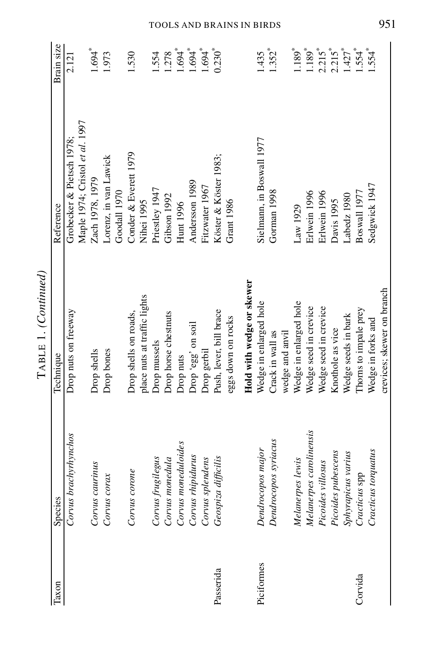|            |                         | TABLE 1. (Continued)         |                                 |                      |
|------------|-------------------------|------------------------------|---------------------------------|----------------------|
| Taxon      | Species                 | Technique                    | Reference                       | Brain size           |
|            | Corvus brachyrhynchos   | Drop nuts on freeway         | Grobecker & Pietsch 1978;       | 2.121                |
|            |                         |                              | Maple 1974; Cristol et al. 1997 |                      |
|            | Corvus caurinus         | Drop shells                  | Zach 1978, 1979                 | $1.694$ <sup>*</sup> |
|            | Corvus corax            | Drop bones                   | Lorenz, in van Lawick           | 1.973                |
|            |                         |                              | Goodall 1970                    |                      |
|            | Corvus corone           | Drop shells on roads,        | Conder & Everett 1979           | 1.530                |
|            |                         | place nuts at traffic lights | Nihei 1995                      |                      |
|            | Corvus frugilegus       | Drop mussels                 | Priestley 1947                  | .554                 |
|            | Corvus monedula         | Drop horse chestnuts         | Gibson 1992                     | 1.278                |
|            | Corvus moneduloides     | Drop nuts                    | Hunt 1996                       | $1.694$ <sup>*</sup> |
|            | Corvus rhipidurus       | Drop 'egg' on soil           | Andersson 1989                  | $1.694$ <sup>*</sup> |
|            | Corvus splendens        | Drop gerbil                  | Fitzwater 1967                  | $1.694$ <sup>*</sup> |
| Passerida  | Geospiza difficilis     | Push, lever, bill brace      | Köster & Köster 1983;           | $0.230*$             |
|            |                         | eggs down on rocks           | <b>Grant 1986</b>               |                      |
|            |                         | Hold with wedge or skewer    |                                 |                      |
| Piciformes | Dendrocopos major       | Wedge in enlarged hole       | Sielmann, in Boswall 1977       | 1.435                |
|            | Dendrocopos syriacus    | Crack in wall as             | Gorman 1998                     | $1.352$ <sup>*</sup> |
|            |                         | wedge and anvil              |                                 |                      |
|            | Melanerpes lewis        | Wedge in enlarged hole       | Law 1929                        | $1.189*$             |
|            | Melanerpes carolinensis | Wedge seed in crevice        | Erlwein 1996                    | $1.189$ <sup>*</sup> |
|            | Picoides villosus       | Wedge seed in crevice        | Erlwein 1996                    | $2.215$ <sup>*</sup> |
|            | Picoides pubescens      | Knothole as vice             | Davis 1995                      | $2.215*$             |
|            | Sphyrapicus varius      | Wedge seeds in bark          | Labedz 1980                     | $1.427$ <sup>*</sup> |
| Corvida    | Cracticus spp           | Thoms to impale prey         | Boswall 1977                    | $.554*$              |
|            | Cracticus torquatus     | Wedge in forks and           | Sedgwick 1947                   | $.554$ <sup>*</sup>  |
|            |                         | crevices; skewer on branch   |                                 |                      |
|            |                         |                              |                                 |                      |

TOOLS AND BRAINS IN BIRDS 951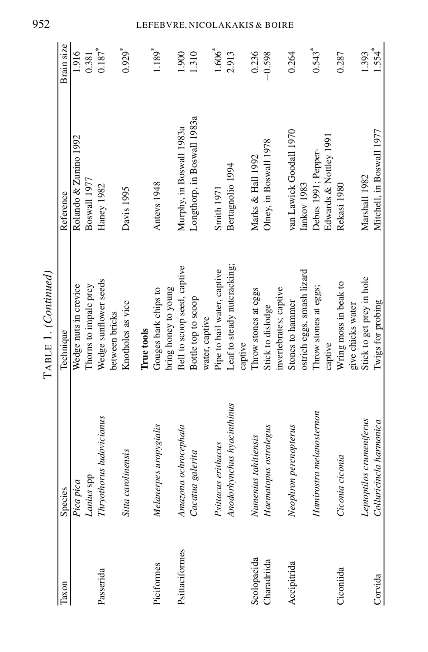| Taxon          | Species                    | Technique                               | Reference                   | Brain size           |
|----------------|----------------------------|-----------------------------------------|-----------------------------|----------------------|
|                | Pica pica                  | Wedge nuts in crevice                   | Rolando & Zunino 1992       | 1.916                |
|                | Lanius spp                 | Thorns to impale prey                   | Boswall 1977                | 0.381                |
| Passerida      | Thryothorus ludovicianus   | Wedge sunflower seeds<br>between bricks | Haney 1982                  | $0.187*$             |
|                | Sitta carolinensis         | Knotholes as vice                       | Davis 1995                  | $0.929$ <sup>*</sup> |
|                |                            | True tools                              |                             |                      |
| Piciformes     | Melanerpes uropygialis     | Gouges bark chips to                    | Antevs 1948                 | $1.189$ <sup>*</sup> |
|                |                            | bring honey to young                    |                             |                      |
| Psittaciformes | Amazona ochrocephala       | Bell to scoop seed, captive             | Murphy, in Boswall 1983a    | 1.900                |
|                | Cacatua galerita           | Bottle top to scoop                     | Longthorp, in Boswall 1983a | 1.310                |
|                |                            | water, captive                          |                             |                      |
|                | Psittacus erithacus        | Pipe to bail water, captive             | Smith 1971                  | $1.606^{*}$          |
|                | Anodorhynchus hyacinthinus | Leaf to steady nutcracking;             | Bertagnolio 1994            | 2.913                |
|                |                            | captive                                 |                             |                      |
| Scolopacida    | Numenius tahitiensis       | Throw stones at eggs                    | Marks & Hall 1992           | 0.236                |
| Charadriida    | Haematopus ostralegus      | Stick to dislodge                       | Olney, in Boswall 1978      | $-0.598$             |
|                |                            | invertebrates; captive                  |                             |                      |
| Accipitrida    | Neophron percnopterus      | Stones to hammer                        | van Lawick Goodall 1970     | 0.264                |
|                |                            | ostrich eggs, smash lizard              | Iankov 1983                 |                      |
|                | Hamirostra melanosternon   | Throw stones at eggs;                   | Debus 1991; Pepper-         | $0.543$ <sup>*</sup> |
|                |                            | captive                                 | Edwards & Nottley 1991      |                      |
| Ciconiida      | Ciconia ciconia            | Wring moss in beak to                   | Rekasi 1980                 | 0.287                |
|                |                            | give chicks water                       |                             |                      |
|                | Leptoptilos crumeniferus   | Stick to get prey in hole               | Marshall 1982               | 1.393                |
| Corvida        | Colluricincla harmonica    | Twigs for probing                       | Mitchell, in Boswall 1977   | $1.554$ <sup>*</sup> |

# 952 LEFEBVRE, NICOLAKAKIS & BOIRE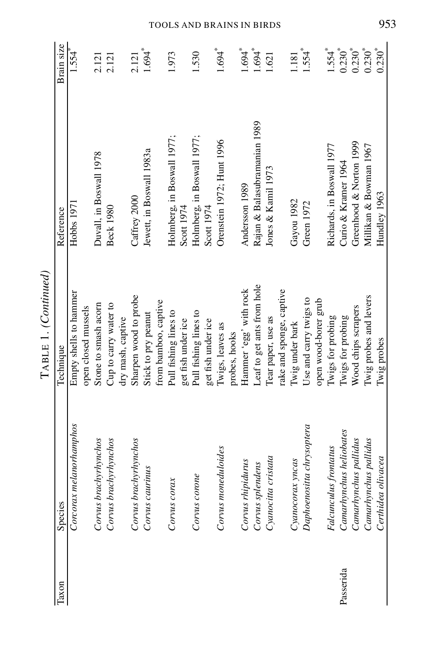| l'axon    | Species                   | Technique                  | Reference                    | Brain size           |
|-----------|---------------------------|----------------------------|------------------------------|----------------------|
|           | Corcorax melanorhamphos   | Empty shells to hammer     | Hobbs 197                    | $1.554$ <sup>*</sup> |
|           |                           | open closed mussels        |                              |                      |
|           | Corvus brachyrhynchos     | Stone to smash acorn       | Duvall, in Boswall 1978      | 2.121                |
|           | Corvus brachyrhynchos     | Cup to carry water to      | <b>Beck 1980</b>             | 2.121                |
|           |                           | dry mash, captive          |                              |                      |
|           | Corvus brachyrhynchos     | Sharpen wood to probe      | Caffrey 2000                 | 2.121                |
|           | Corvus caurinus           | Stick to pry peanut        | Jewett, in Boswall 1983a     | $1.694$ <sup>*</sup> |
|           |                           | from bamboo, captive       |                              |                      |
|           | Corvus corax              | Pull fishing lines to      | Holmberg, in Boswall 1977;   | 1.973                |
|           |                           | get fish under ice         | Scott 1974                   |                      |
|           | Corvus corone             | Pull fishing lines to      | Holmberg, in Boswall 1977;   | 1.530                |
|           |                           | get fish under ice         | Scott 1974                   |                      |
|           | Corvus moneduloides       | Twigs, leaves as           | Orenstein 1972; Hunt 1996    | $1.694$ <sup>*</sup> |
|           |                           | probes, hooks              |                              |                      |
|           | Corvus rhipidurus         | Hammer 'egg' with rock     | Andersson 1989               | $1.694$ <sup>*</sup> |
|           | Corvus splendens          | Leaf to get ants from hole | Rajan & Balasubramanian 1989 | $1.694$ <sup>*</sup> |
|           | Cyanocitta cristata       | Tear paper, use as         | Jones & Kamil 1973           | 1.621                |
|           |                           | rake and sponge, captive   |                              |                      |
|           | Cyanocorax yncas          | Twig under bark            | Gayou 1982                   | 1.181                |
|           | Daphoenositta chrysoptera | Use and carry twigs to     | Green 1972                   | $1.554$ <sup>*</sup> |
|           |                           | open wood-borer grub       |                              |                      |
|           | Falcunculus frontatus     | Twigs for probing          | Richards, in Boswall 1977    | $1.554$ <sup>*</sup> |
| Passerida | Camarhynchus heliobates   | Twigs for probing          | Curio & Kramer 1964          | $0.230^{*}$          |
|           | Canarhynchus pallidus     | Wood chips scrapers        | Greenhood & Norton 1999      | $0.230*$             |
|           | Canarhynchus pallidus     | Twig probes and levers     | Millikan & Bowman 1967       | $0.230^{*}$          |
|           | Certhidea olivacea        | Twig probes                | Hundley 1963                 | $0.230*$             |

TOOLS AND BRAINS IN BIRDS 953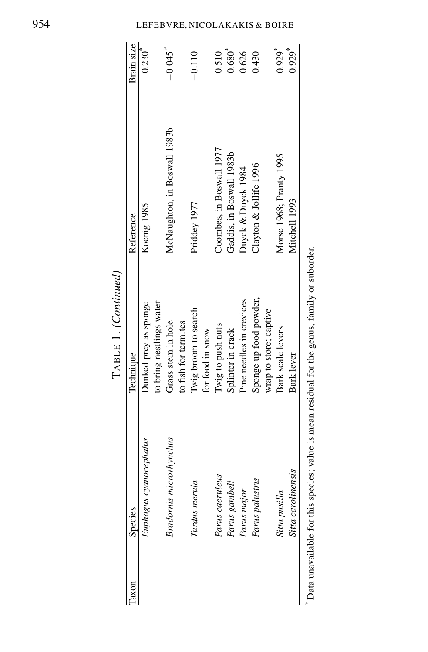| laxon | Species                       | Technique                                                                                      | Reference                    | Brain size           |
|-------|-------------------------------|------------------------------------------------------------------------------------------------|------------------------------|----------------------|
|       | Euphagus cyanocephalus        | Dunked prey as sponge                                                                          | Koenig 1985                  | $0.230^{*}$          |
|       |                               | to bring nestlings water                                                                       |                              |                      |
|       | <b>Bradomis</b> microrhynchus | Grass stem in hole                                                                             | McNaughton, in Boswall 1983b | $-0.045$             |
|       |                               | to fish for termites                                                                           |                              |                      |
|       | Turdus merula                 | Twig broom to search                                                                           | Priddey 1977                 | $-0.110$             |
|       |                               | for food in snow                                                                               |                              |                      |
|       | Parus caeruleus               | Twig to push nuts                                                                              | Coombes, in Boswall 1977     | 0.510                |
|       | Parus gambeli                 | Splinter in crack                                                                              | Gaddis, in Boswall 1983b     | $0.680^{*}$          |
|       | Parus major                   | Pine needles in crevices                                                                       | Duyck & Duyck 1984           | 0.626                |
|       | Parus palustris               | Sponge up food powder,                                                                         | Clayton & Jollife 1996       | 0.430                |
|       |                               | wrap to store; captive                                                                         |                              |                      |
|       | Sitta pusilla                 | Bark scale levers                                                                              | Morse 1968; Pranty 1995      | $0.929$ <sup>*</sup> |
|       | Sitta carolinensis            | Bark lever                                                                                     | Mitchell 1993                | $0.929$ <sup>*</sup> |
|       |                               | * Data unavailable for this species; value is mean residual for the genus, family or suborder. |                              |                      |

TABLE 1. *(Continued)*

Data unavailable for this species; value is mean residual for the genus, family or suborder.

### LEFEBVRE, NICO LAKAKI S & BOIRE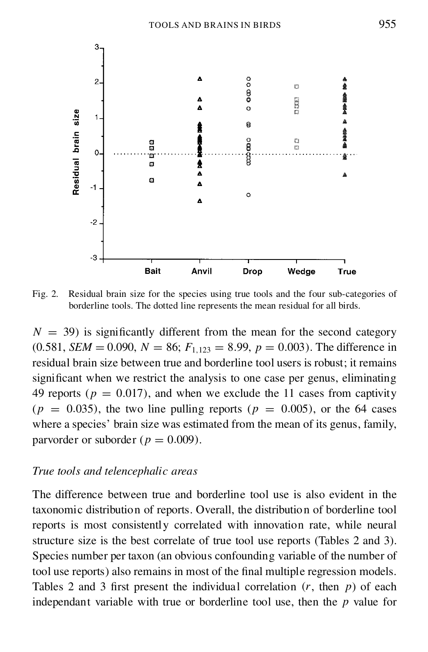

Fig. 2. Residual brain size for the species using true tools and the four sub-categories of borderline tools. The dotted line represents the mean residual for all birds.

 $N = 39$ ) is significantly different from the mean for the second category  $(0.581, SEM = 0.090, N = 86; F<sub>1,123</sub> = 8.99, p = 0.003)$ . The difference in residual brain size between true and borderline tool users is robust; it remains significant when we restrict the analysis to one case per genus, eliminating 49 reports ( $p = 0.017$ ), and when we exclude the 11 cases from captivity  $(p = 0.035)$ , the two line pulling reports  $(p = 0.005)$ , or the 64 cases where a species' brain size was estimated from the mean of its genus, family, parvorder or suborder ( $p = 0.009$ ).

## *True tools and telencephalic areas*

The difference between true and borderline tool use is also evident in the taxonomic distribution of reports. Overall, the distribution of borderline tool reports is most consistently correlated with innovation rate, while neural structure size is the best correlate of true tool use reports (Tables 2 and 3). Species number per taxon (an obvious confounding variable of the number of tool use reports) also remains in most of the final multiple regression models. Tables 2 and 3 first present the individual correlation  $(r, \text{ then } p)$  of each independant variable with true or borderline tool use, then the  $p$  value for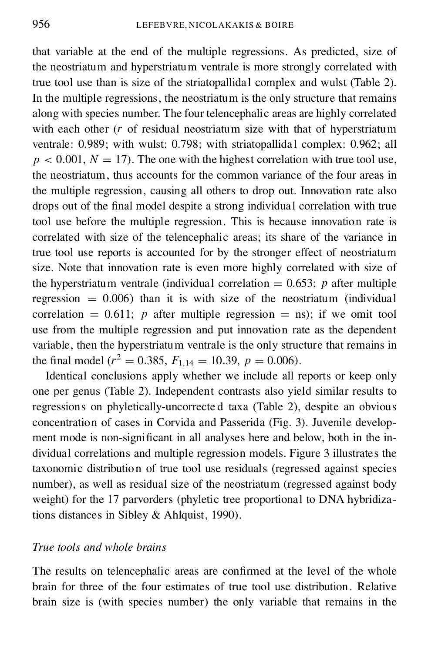that variable at the end of the multiple regressions. As predicted, size of the neostriatum and hyperstriatum ventrale is more strongly correlated with true tool use than is size of the striatopallidal complex and wulst (Table 2). In the multiple regressions, the neostriatum is the only structure that remains along with species number. The four telencephalic areas are highly correlated with each other  $(r$  of residual neostriatum size with that of hyperstriatum ventrale: 0.989; with wulst: 0.798; with striatopallidal complex: 0.962; all  $p < 0.001$ ,  $N = 17$ ). The one with the highest correlation with true tool use, the neostriatum, thus accounts for the common variance of the four areas in the multiple regression, causing all others to drop out. Innovation rate also drops out of the final model despite a strong individual correlation with true tool use before the multiple regression. This is because innovation rate is correlated with size of the telencephalic areas; its share of the variance in true tool use reports is accounted for by the stronger effect of neostriatum size. Note that innovation rate is even more highly correlated with size of the hyperstriatum ventrale (individual correlation  $= 0.653$ ; p after multiple regression  $= 0.006$ ) than it is with size of the neostriatum (individual correlation  $= 0.611$ ; p after multiple regression  $=$  ns); if we omit tool use from the multiple regression and put innovation rate as the dependent variable, then the hyperstriatum ventrale is the only structure that remains in the final model ( $r^2 = 0.385$ ,  $F_{1,14} = 10.39$ ,  $p = 0.006$ ).

Identical conclusions apply whether we include all reports or keep only one per genus (Table 2). Independent contrasts also yield similar results to regressions on phyletically-uncorrecte d taxa (Table 2), despite an obvious concentration of cases in Corvida and Passerida (Fig. 3). Juvenile develop ment mode is non-significant in all analyses here and below, both in the individual correlations and multiple regression models. Figure 3 illustrates the taxonomic distribution of true tool use residuals (regressed against species number), as well as residual size of the neostriatum (regressed against body weight) for the 17 parvorders (phyletic tree proportional to DNA hybridizations distances in Sibley & Ahlquist, 1990).

## *True tools and whole brains*

The results on telencephalic areas are confirmed at the level of the whole brain for three of the four estimates of true tool use distribution. Relative brain size is (with species number) the only variable that remains in the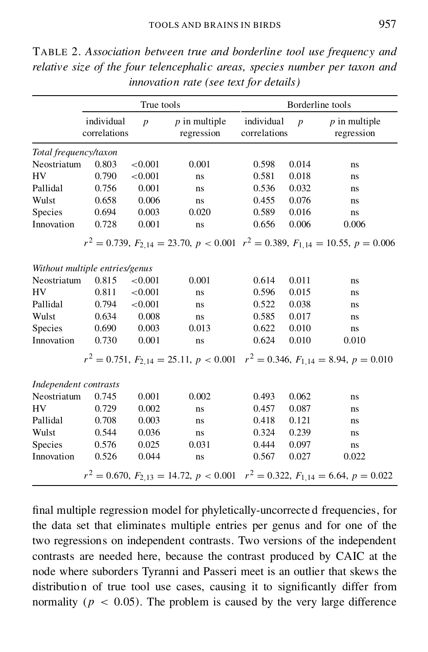|                       |                                | True tools       |                               |                            |                | Borderline tools                                                                                  |
|-----------------------|--------------------------------|------------------|-------------------------------|----------------------------|----------------|---------------------------------------------------------------------------------------------------|
|                       | individual<br>correlations     | $\boldsymbol{p}$ | $p$ in multiple<br>regression | individual<br>correlations | $\overline{p}$ | $p$ in multiple<br>regression                                                                     |
| Total frequency/taxon |                                |                  |                               |                            |                |                                                                                                   |
| Neostriatum           | 0.803                          | < 0.001          | 0.001                         | 0.598                      | 0.014          | ns                                                                                                |
| HV                    | 0.790                          | < 0.001          | ns                            | 0.581                      | 0.018          | ns                                                                                                |
| Pallidal              | 0.756                          | 0.001            | ns                            | 0.536                      | 0.032          | ns                                                                                                |
| Wulst                 | 0.658                          | 0.006            | ns                            | 0.455                      | 0.076          | ns                                                                                                |
| Species               | 0.694                          | 0.003            | 0.020                         | 0.589                      | 0.016          | ns                                                                                                |
| Innovation            | 0.728                          | 0.001            | ns                            | 0.656                      | 0.006          | 0.006                                                                                             |
|                       |                                |                  |                               |                            |                | $r^2 = 0.739$ , $F_{2,14} = 23.70$ , $p < 0.001$ $r^2 = 0.389$ , $F_{1,14} = 10.55$ , $p = 0.006$ |
|                       | Without multiple entries/genus |                  |                               |                            |                |                                                                                                   |
| Neostriatum           | 0.815                          | < 0.001          | 0.001                         | 0.614                      | 0.011          | ns                                                                                                |
| HV                    | 0.811                          | < 0.001          | ns                            | 0.596                      | 0.015          | ns                                                                                                |
| Pallidal              | 0.794                          | < 0.001          | ns                            | 0.522                      | 0.038          | ns                                                                                                |
| Wulst                 | 0.634                          | 0.008            | ns                            | 0.585                      | 0.017          | ns                                                                                                |
| Species               | 0.690                          | 0.003            | 0.013                         | 0.622                      | 0.010          | ns                                                                                                |
| Innovation            | 0.730                          | 0.001            | ns                            | 0.624                      | 0.010          | 0.010                                                                                             |
|                       |                                |                  |                               |                            |                | $r^2 = 0.751$ , $F_{2,14} = 25.11$ , $p < 0.001$ $r^2 = 0.346$ , $F_{1,14} = 8.94$ , $p = 0.010$  |
| Independent contrasts |                                |                  |                               |                            |                |                                                                                                   |
| Neostriatum           | 0.745                          | 0.001            | 0.002                         | 0.493                      | 0.062          | ns                                                                                                |
| <b>HV</b>             | 0.729                          | 0.002            | ns                            | 0.457                      | 0.087          | ns                                                                                                |
| Pallidal              | 0.708                          | 0.003            | ns                            | 0.418                      | 0.121          | ns                                                                                                |
| Wulst                 | 0.544                          | 0.036            | ns                            | 0.324                      | 0.239          | ns                                                                                                |
| Species               | 0.576                          | 0.025            | 0.031                         | 0.444                      | 0.097          | ns                                                                                                |
| Innovation            | 0.526                          | 0.044            | ns                            | 0.567                      | 0.027          | 0.022                                                                                             |
|                       |                                |                  |                               |                            |                | $r^2 = 0.670$ , $F_{2,13} = 14.72$ , $p < 0.001$ $r^2 = 0.322$ , $F_{1,14} = 6.64$ , $p = 0.022$  |

TABLE 2. *Association between true and borderline tool use frequency and relative size of the four telencephalic areas, species number per taxon and innovation rate (see text for details)*

final multiple regression model for phyletically-uncorrected frequencies, for the data set that eliminates multiple entries per genus and for one of the two regressions on independent contrasts. Two versions of the independent contrasts are needed here, because the contrast produced by CAIC at the node where suborders Tyranni and Passeri meet is an outlier that skews the distribution of true tool use cases, causing it to significantly differ from normality ( $p < 0.05$ ). The problem is caused by the very large difference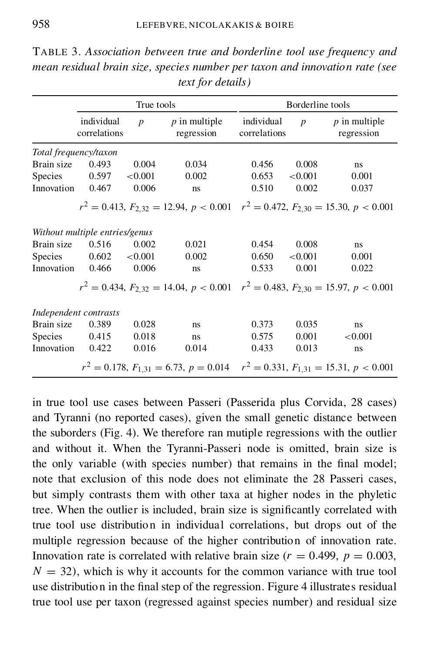|                |                                | True tools       |                                                                                                   |                            | Borderline tools |                               |
|----------------|--------------------------------|------------------|---------------------------------------------------------------------------------------------------|----------------------------|------------------|-------------------------------|
|                | individual<br>correlations     | $\boldsymbol{p}$ | $p$ in multiple<br>regression                                                                     | individual<br>correlations | $\boldsymbol{p}$ | $p$ in multiple<br>regression |
|                | Total frequency/taxon          |                  |                                                                                                   |                            |                  |                               |
| Brain size     | 0.493                          | 0.004            | 0.034                                                                                             | 0.456                      | 0.008            | ns                            |
| <b>Species</b> | 0.597                          | ${<}0.001$       | 0.002                                                                                             | 0.653                      | ${<}0.001$       | 0.001                         |
| Innovation     | 0.467                          | 0.006            | ns                                                                                                | 0.510                      | 0.002            | 0.037                         |
|                |                                |                  | $r^2 = 0.413$ , $F_{2,32} = 12.94$ , $p < 0.001$ $r^2 = 0.472$ , $F_{2,30} = 15.30$ , $p < 0.001$ |                            |                  |                               |
|                | Without multiple entries/genus |                  |                                                                                                   |                            |                  |                               |
| Brain size     | 0.516                          | 0.002            | 0.021                                                                                             | 0.454                      | 0.008            | ns                            |
| Species        | 0.602                          | ${<}0.001$       | 0.002                                                                                             | 0.650                      | ${<}0.001$       | 0.001                         |
| Innovation     | 0.466                          | 0.006            | ns                                                                                                | 0.533                      | 0.001            | 0.022                         |
|                |                                |                  | $r^2 = 0.434$ , $F_{2,32} = 14.04$ , $p < 0.001$ $r^2 = 0.483$ , $F_{2,30} = 15.97$ , $p < 0.001$ |                            |                  |                               |
|                | Independent contrasts          |                  |                                                                                                   |                            |                  |                               |
| Brain size     | 0.389                          | 0.028            | ns                                                                                                | 0.373                      | 0.035            | ns                            |
| Species        | 0.415                          | 0.018            | ns                                                                                                | 0.575                      | 0.001            | ${<}0.001$                    |
| Innovation     | 0.422                          | 0.016            | 0.014                                                                                             | 0.433                      | 0.013            | ns                            |
|                |                                |                  | $r^2 = 0.178$ , $F_{1,31} = 6.73$ , $p = 0.014$ $r^2 = 0.331$ , $F_{1,31} = 15.31$ , $p < 0.001$  |                            |                  |                               |

TABLE 3. *Association between true and borderline tool use frequency and mean residual brain size, species number per taxon and innovation rate (see text for details)*

in true tool use cases between Passeri (Passerida plus Corvida, 28 cases) and Tyranni (no reported cases), given the small genetic distance between the suborders (Fig. 4). We therefore ran mutiple regressions with the outlier and without it. When the Tyranni-Passeri node is omitted, brain size is the only variable (with species number) that remains in the final model; note that exclusion of this node does not eliminate the 28 Passeri cases, but simply contrasts them with other taxa at higher nodes in the phyletic tree. When the outlier is included, brain size is significantly correlated with true tool use distribution in individual correlations, but drops out of the multiple regression because of the higher contribution of innovation rate. Innovation rate is correlated with relative brain size ( $r = 0.499$ ,  $p = 0.003$ ,  $N = 32$ , which is why it accounts for the common variance with true tool use distribution in the final step of the regression. Figure 4 illustrates residual true tool use per taxon (regressed against species number) and residual size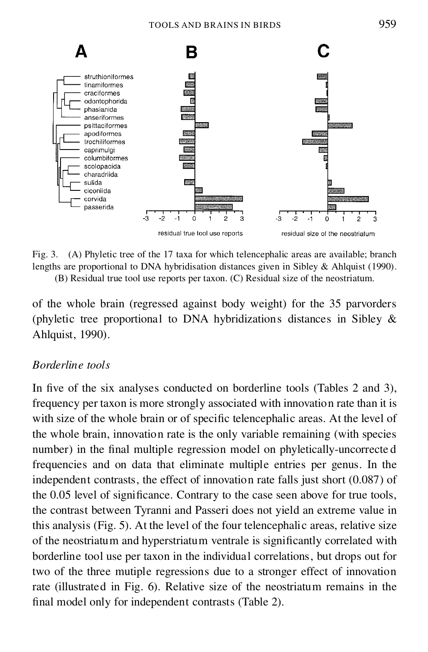

Fig. 3. (A) Phyletic tree of the 17 taxa for which telencephalic areas are available; branch lengths are proportional to DNA hybridisation distances given in Sibley & Ahlquist (1990).

(B) Residual true tool use reports per taxon. (C) Residual size of the neostriatum.

of the whole brain (regressed against body weight) for the 35 parvorders (phyletic tree proportional to DNA hybridizations distances in Sibley & Ahlquist, 1990).

# *Borderline tools*

In five of the six analyses conducted on borderline tools (Tables 2 and 3). frequency per taxon is more strongly associated with innovation rate than it is with size of the whole brain or of specific telencephalic areas. At the level of the whole brain, innovation rate is the only variable remaining (with species number) in the final multiple regression model on phyletically-uncorrected frequencies and on data that eliminate multiple entries per genus. In the independent contrasts, the effect of innovation rate falls just short (0.087) of the 0.05 level of significance. Contrary to the case seen above for true tools, the contrast between Tyranni and Passeri does not yield an extreme value in this analysis (Fig. 5). At the level of the four telencephalic areas, relative size of the neostriatum and hyperstriatum ventrale is significantly correlated with borderline tool use per taxon in the individual correlations, but drops out for two of the three mutiple regressions due to a stronger effect of innovation rate (illustrated in Fig. 6). Relative size of the neostriatum remains in the final model only for independent contrasts (Table 2).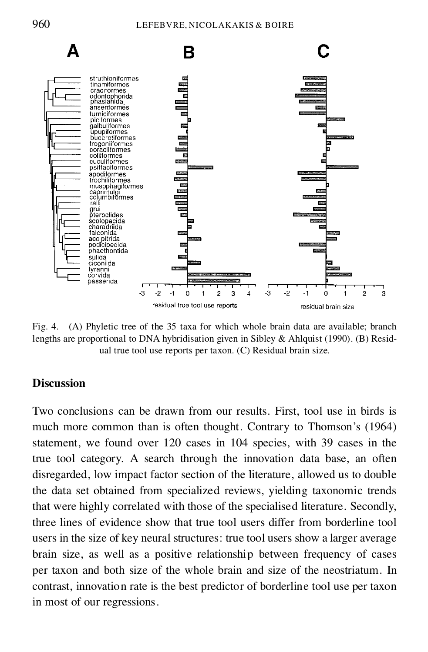

Fig. 4. (A) Phyletic tree of the 35 taxa for which whole brain data are available; branch lengths are proportional to DNA hybridisation given in Sibley & Ahlquist (1990). (B) Resid ual true tool use reports per taxon. (C) Residual brain size.

# **Discussion**

Two conclusions can be drawn from our results. First, tool use in birds is much more common than is often thought. Contrary to Thomson's (1964) statement, we found over 120 cases in 104 species, with 39 cases in the true tool category. A search through the innovation data base, an often disregarded, low impact factor section of the literature, allowed us to double the data set obtained from specialized reviews, yielding taxonomic trends that were highly correlated with those of the specialised literature. Secondly, three lines of evidence show that true tool users differ from borderline tool users in the size of key neural structures: true tool users show a larger average brain size, as well as a positive relationship between frequency of cases per taxon and both size of the whole brain and size of the neostriatum. In contrast, innovation rate is the best predictor of borderline tool use per taxon in most of our regressions.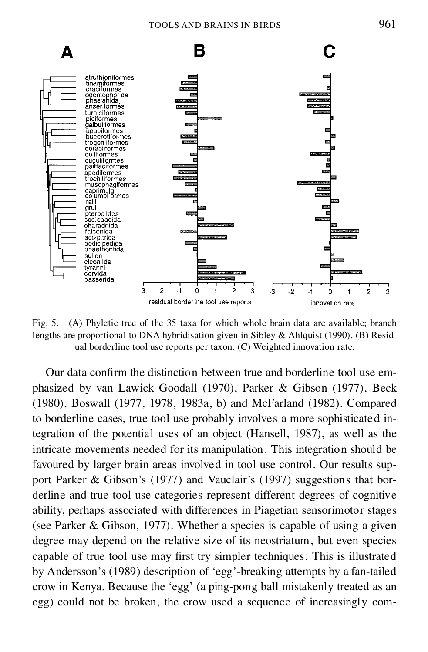

Fig. 5. (A) Phyletic tree of the 35 taxa for which whole brain data are available; branch lengths are proportional to DNA hybridisation given in Sibley & Ahlquist (1990). (B) Resid ual borderline tool use reports per taxon. (C) Weighted innovation rate.

Our data confirm the distinction between true and borderline tool use emphasized by van Lawick Goodall (1970), Parker & Gibson (1977), Beck (1980), Boswall (1977, 1978, 1983a, b) and McFarland (1982). Compared to borderline cases, true tool use probably involves a more sophisticated integration of the potential uses of an object (Hansell, 1987), as well as the intricate movements needed for its manipulation. This integration should be favoured by larger brain areas involved in tool use control. Our results sup port Parker & Gibson's (1977) and Vauclair's (1997) suggestions that bor derline and true tool use categories represent different degrees of cognitive ability, perhaps associated with differences in Piagetian sensorimotor stages (see Parker & Gibson, 1977). Whether a species is capable of using a given degree may depend on the relative size of its neostriatum, but even species capable of true tool use may first try simpler techniques. This is illustrated by Andersson's (1989) description of 'egg'-breaking attempts by a fan-tailed crow in Kenya. Because the 'egg' (a ping-pong ball mistakenly treated as an egg) could not be broken, the crow used a sequence of increasingly com-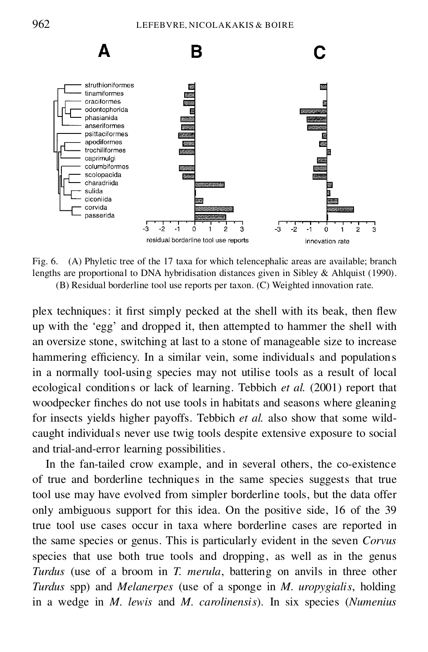

Fig. 6. (A) Phyletic tree of the 17 taxa for which telencephalic areas are available; branch lengths are proportional to DNA hybridisation distances given in Sibley & Ahlquist (1990). (B) Residual borderline tool use reports per taxon. (C) Weighted innovation rate.

plex techniques: it first simply pecked at the shell with its beak, then flew up with the 'egg' and dropped it, then attempted to hammer the shell with an oversize stone, switching at last to a stone of manageable size to increase hammering efficiency. In a similar vein, some individuals and populations in a normally tool-using species may not utilise tools as a result of local ecological conditions or lack of learning. Tebbich *et al.* (2001) report that woodpecker finches do not use tools in habitats and seasons where gleaning for insects yields higher payoffs. Tebbich *et al.* also show that some wild caught individuals never use twig tools despite extensive exposure to social and trial-and-error learning possibilities.

In the fan-tailed crow example, and in several others, the co-existence of true and borderline techniques in the same species suggests that true tool use may have evolved from simpler borderline tools, but the data offer only ambiguous support for this idea. On the positive side, 16 of the 39 true tool use cases occur in taxa where borderline cases are reported in the same species or genus. This is particularly evident in the seven *Corvus* species that use both true tools and dropping, as well as in the genus *Turdus* (use of a broom in *T. merula*, battering on anvils in three other *Turdus* spp) and *Melanerpes* (use of a sponge in *M. uropygialis*, holding in a wedge in *M. lewis* and *M. carolinensis*). In six species (*Numenius*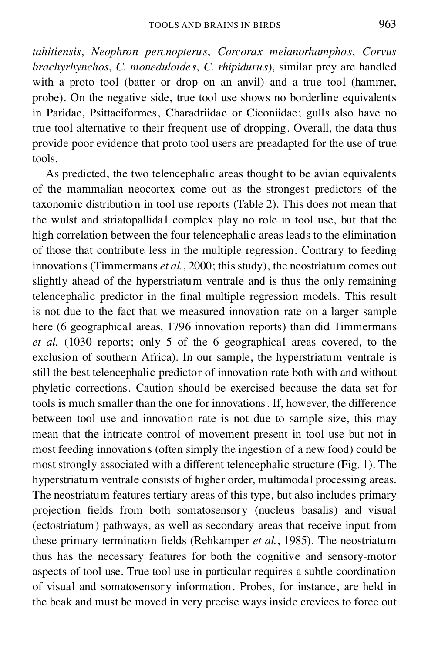*tahitiensis*, *Neophron percnopterus*, *Corcorax melanorhamphos*, *Corvus brachyrhynchos*, *C. moneduloides*, *C. rhipidurus*), similar prey are handled with a proto tool (batter or drop on an anvil) and a true tool (hammer, probe). On the negative side, true tool use shows no borderline equivalents in Paridae, Psittaciformes, Charadriidae or Ciconiidae; gulls also have no true tool alternative to their frequent use of dropping. Overall, the data thus provide poor evidence that proto tool users are preadapted for the use of true tools.

As predicted, the two telencephalic areas thought to be avian equivalents of the mammalian neocortex come out as the strongest predictors of the taxonomic distribution in tool use reports (Table 2). This does not mean that the wulst and striatopallidal complex play no role in tool use, but that the high correlation between the four telencephalic areas leads to the elimination of those that contribute less in the multiple regression. Contrary to feeding innovations (Timmermans *et al.*, 2000; this study), the neostriatum comes out slightly ahead of the hyperstriatum ventrale and is thus the only remaining telencephalic predictor in the final multiple regression models. This result is not due to the fact that we measured innovation rate on a larger sample here (6 geographical areas, 1796 innovation reports) than did Timmermans *et al.* (1030 reports; only 5 of the 6 geographical areas covered, to the exclusion of southern Africa). In our sample, the hyperstriatum ventrale is still the best telencephalic predictor of innovation rate both with and without phyletic corrections. Caution should be exercised because the data set for tools is much smaller than the one for innovations. If, however, the difference between tool use and innovation rate is not due to sample size, this may mean that the intricate control of movement present in tool use but not in most feeding innovations (often simply the ingestion of a new food) could be most strongly associated with a different telencephalic structure (Fig. 1). The hyperstriatum ventrale consists of higher order, multimodal processing areas. The neostriatum features tertiary areas of this type, but also includes primary projection fields from both somatosensory (nucleus basalis) and visual (ectostriatum) pathways, as well as secondary areas that receive input from these primary termination fields (Rehkamper *et al.*, 1985). The neostriatum thus has the necessary features for both the cognitive and sensory-motor aspects of tool use. True tool use in particular requires a subtle coordination of visual and somatosensory information. Probes, for instance, are held in the beak and must be moved in very precise ways inside crevices to force out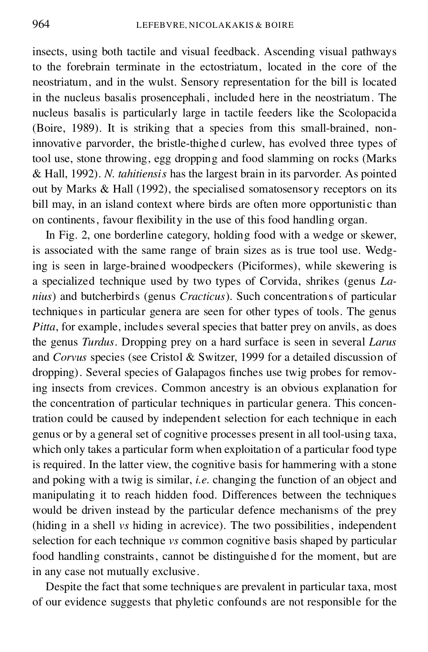insects, using both tactile and visual feedback. Ascending visual pathways to the forebrain terminate in the ectostriatum, located in the core of the neostriatum, and in the wulst. Sensory representation for the bill is located in the nucleus basalis prosencephali, included here in the neostriatum. The nucleus basalis is particularly large in tactile feeders like the Scolopacida (Boire, 1989). It is striking that a species from this small-brained, noninnovative parvorder, the bristle-thighed curlew, has evolved three types of tool use, stone throwing, egg dropping and food slamming on rocks (Marks & Hall, 1992). *N. tahitiensis* has the largest brain in its parvorder. As pointed out by Marks & Hall (1992), the specialised somatosensory receptors on its bill may, in an island context where birds are often more opportunistic than on continents, favour flexibility in the use of this food handling organ.

In Fig. 2, one borderline category, holding food with a wedge or skewer, is associated with the same range of brain sizes as is true tool use. Wedging is seen in large-brained woodpeckers (Piciformes), while skewering is a specialized technique used by two types of Corvida, shrikes (genus *Lanius*) and butcherbirds (genus *Cracticus*). Such concentrations of particular techniques in particular genera are seen for other types of tools. The genus *Pitta*, for example, includes several species that batter prey on anvils, as does the genus *Turdus*. Dropping prey on a hard surface is seen in several *Larus* and *Corvus* species (see Cristol & Switzer, 1999 for a detailed discussion of dropping). Several species of Galapagos finches use twig probes for removing insects from crevices. Common ancestry is an obvious explanation for the concentration of particular techniques in particular genera. This concentration could be caused by independent selection for each technique in each genus or by a general set of cognitive processes present in all tool-using taxa, which only takes a particular form when exploitation of a particular food type is required. In the latter view, the cognitive basis for hammering with a stone and poking with a twig is similar, *i.e.* changing the function of an object and manipulating it to reach hidden food. Differences between the techniques would be driven instead by the particular defence mechanisms of the prey (hiding in a shell *vs* hiding in acrevice). The two possibilities, independent selection for each technique *vs* common cognitive basis shaped by particular food handling constraints, cannot be distinguishe d for the moment, but are in any case not mutually exclusive.

Despite the fact that some techniques are prevalent in particular taxa, most of our evidence suggests that phyletic confounds are not responsible for the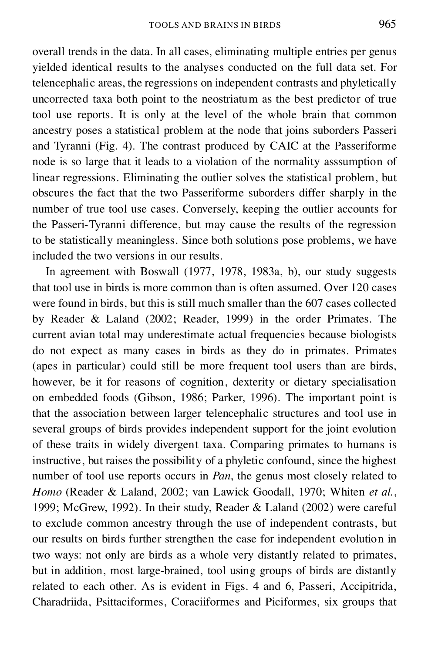overall trends in the data. In all cases, eliminating multiple entries per genus yielded identical results to the analyses conducted on the full data set. For telencephalic areas, the regressions on independent contrasts and phyletically uncorrected taxa both point to the neostriatum asthe best predictor of true tool use reports. It is only at the level of the whole brain that common ancestry poses a statistical problem at the node that joins suborders Passeri and Tyranni (Fig. 4). The contrast produced by CAIC at the Passeriforme node is so large that it leads to a violation of the normality asssumption of linear regressions. Eliminating the outlier solves the statistical problem, but obscures the fact that the two Passeriforme suborders differ sharply in the number of true tool use cases. Conversely, keeping the outlier accounts for the Passeri-Tyranni difference, but may cause the results of the regression to be statistically meaningless. Since both solutions pose problems, we have included the two versions in our results.

In agreement with Boswall (1977, 1978, 1983a, b), our study suggests that tool use in birds is more common than is often assumed. Over 120 cases were found in birds, but this is still much smaller than the 607 cases collected by Reader & Laland (2002; Reader, 1999) in the order Primates. The current avian total may underestimate actual frequencies because biologists do not expect as many cases in birds as they do in primates. Primates (apes in particular) could still be more frequent tool users than are birds, however, be it for reasons of cognition, dexterity or dietary specialisation on embedded foods (Gibson, 1986; Parker, 1996). The important point is that the association between larger telencephalic structures and tool use in several groups of birds provides independent support for the joint evolution of these traits in widely divergent taxa. Comparing primates to humans is instructive, but raises the possibility of a phyletic confound, since the highest number of tool use reports occurs in *Pan*, the genus most closely related to *Homo* (Reader & Laland, 2002; van Lawick Goodall, 1970; Whiten *et al.*, 1999; McGrew, 1992). In their study, Reader & Laland (2002) were careful to exclude common ancestry through the use of independent contrasts, but our results on birds further strengthen the case for independent evolution in two ways: not only are birds as a whole very distantly related to primates, but in addition, most large-brained, tool using groups of birds are distantly related to each other. As is evident in Figs. 4 and 6, Passeri, Accipitrida, Charadriida, Psittaciformes, Coraciiformes and Piciformes, six groups that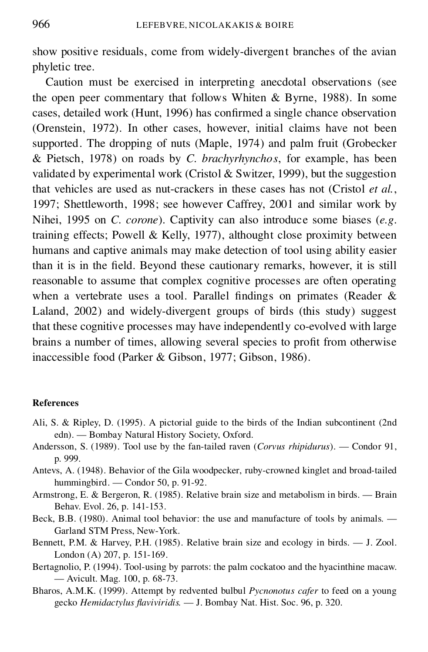show positive residuals, come from widely-divergent branches of the avian phyletic tree.

Caution must be exercised in interpreting anecdotal observations (see the open peer commentary that follows Whiten & Byrne, 1988). In some cases, detailed work (Hunt, 1996) has confirmed a single chance observation (Orenstein, 1972). In other cases, however, initial claims have not been supported. The dropping of nuts (Maple, 1974) and palm fruit (Grobecker & Pietsch, 1978) on roads by *C. brachyrhynchos*, for example, has been validated by experimental work (Cristol & Switzer, 1999), but the suggestion that vehicles are used as nut-crackers in these cases has not (Cristol *et al.*, 1997; Shettleworth, 1998; see however Caffrey, 2001 and similar work by Nihei, 1995 on *C. corone*). Captivity can also introduce some biases (*e.g*. training effects; Powell & Kelly, 1977), althought close proximity between humans and captive animals may make detection of tool using ability easier than it is in the field. Beyond these cautionary remarks, however, it is still reasonable to assume that complex cognitive processes are often operating when a vertebrate uses a tool. Parallel findings on primates (Reader  $\&$ Laland, 2002) and widely-divergent groups of birds (this study) suggest that these cognitive processes may have independently co-evolved with large brains a number of times, allowing several species to profit from otherwise inaccessible food (Parker & Gibson, 1977; Gibson, 1986).

### **References**

- Ali, S. & Ripley, D. (1995). A pictorial guide to the birds of the Indian subcontinent (2nd edn). — Bombay Natural History Society, Oxford.
- Andersson, S. (1989). Tool use by the fan-tailed raven (*Corvus rhipidurus*). Condor 91, p. 999.
- Antevs, A. (1948). Behavior of the Gila woodpecker, ruby-crowned kinglet and broad-tailed hummingbird. — Condor 50, p. 91-92.
- Armstrong, E. & Bergeron, R. (1985). Relative brain size and metabolism in birds. Brain Behav. Evol. 26, p. 141-153.
- Beck, B.B. (1980). Animal tool behavior: the use and manufacture of tools by animals. Garland STM Press, New-York.
- Bennett, P.M. & Harvey, P.H. (1985). Relative brain size and ecology in birds. J. Zool. London (A) 207, p. 151-169.
- Bertagnolio, P. (1994). Tool-using by parrots: the palm cockatoo and the hyacinthine macaw. — Avicult. Mag. 100, p. 68-73.
- Bharos, A.M.K. (1999). Attempt by redvented bulbul *Pycnonotus cafer* to feed on a young gecko *Hemidactylus aviviridis.* — J. Bombay Nat. Hist. Soc. 96, p. 320.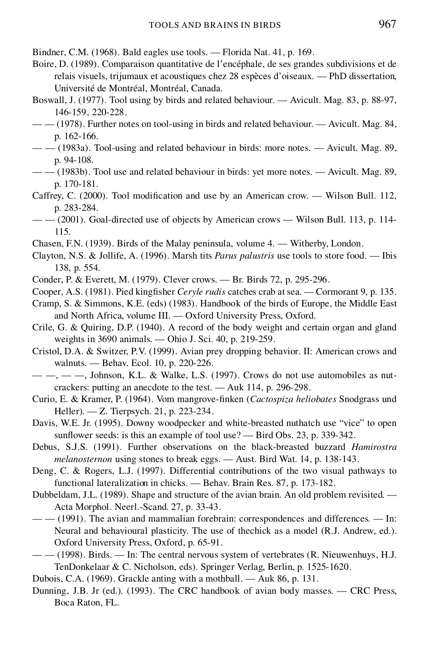- Bindner, C.M. (1968). Bald eagles use tools. Florida Nat. 41, p. 169.
- Boire, D. (1989). Comparaison quantitative de l'encéphale, de ses grandes subdivisions et de relais visuels, trijumaux et acoustiques chez 28 espèces d'oiseaux. — PhD dissertation, Université de Montréal, Montréal, Canada.
- Boswall, J. (1977). Tool using by birds and related behaviour. Avicult. Mag. 83, p. 88-97, 146-159, 220-228.
- — (1978). Further notes on tool-using in birds and related behaviour. Avicult. Mag. 84, p. 162-166.
- — (1983a). Tool-using and related behaviour in birds: more notes. Avicult. Mag. 89, p. 94-108.
- — (1983b). Tool use and related behaviour in birds: yet more notes. Avicult. Mag. 89, p. 170-181.
- Caffrey, C. (2000). Tool modification and use by an American crow. Wilson Bull. 112, p. 283-284.
- $\mu = -(2001)$ . Goal-directed use of objects by American crows Wilson Bull. 113, p. 114-115.
- Chasen, F.N. (1939). Birds of the Malay peninsula, volume 4. Witherby, London.
- Clayton, N.S. & Jollife, A. (1996). Marsh tits *Parus palustris* use tools to store food. Ibis 138, p. 554.
- Conder, P. & Everett, M. (1979). Clever crows. Br. Birds 72, p. 295-296.
- Cooper, A.S. (1981). Pied king fisher *Ceryle rudis* catches crab at sea. Cormorant 9, p. 135.
- Cramp, S. & Simmons, K.E. (eds) (1983). Handbook of the birds of Europe, the Middle East and North Africa, volume III. — Oxford University Press, Oxford.
- Crile, G. & Quiring, D.P. (1940). A record of the body weight and certain organ and gland weights in 3690 animals. — Ohio J. Sci. 40, p. 219-259.
- Cristol, D.A. & Switzer, P.V. (1999). Avian prey dropping behavior. II: American crows and walnuts. — Behav. Ecol. 10, p. 220-226.
- $-\frac{1}{2}$ ,  $-\frac{1}{2}$ , Johnson, K.L. & Walke, L.S. (1997). Crows do not use automobiles as nutcrackers: putting an anecdote to the test. — Auk 114, p. 296-298.
- Curio, E. & Kramer, P. (1964). Vom mangrove- nken (*Cactospiza heliobates* Snodgrass und Heller). — Z. Tierpsych. 21, p. 223-234.
- Davis, W.E. Jr. (1995). Downy woodpecker and white-breasted nuthatch use "vice" to open sunflower seeds: is this an example of tool use? — Bird Obs. 23, p. 339-342.
- Debus, S.J.S. (1991). Further observations on the black-breasted buzzard *Hamirostra melanosternon* using stones to break eggs. — Aust. Bird Wat. 14, p. 138-143.
- Deng, C. & Rogers, L.J. (1997). Differential contributions of the two visual pathways to functional lateralization in chicks. — Behav. Brain Res. 87, p. 173-182.
- Dubbeldam, J.L. (1989). Shape and structure of the avian brain. An old problem revisited. Acta Morphol. Neerl.-Scand. 27, p. 33-43.
- — (1991). The avian and mammalian forebrain: correspondences and differences. In: Neural and behavioural plasticity. The use of thechick as a model (R.J. Andrew, ed.). Oxford University Press, Oxford, p. 65-91.
- — (1998). Birds. In: The central nervous system of vertebrates (R. Nieuwenhuys, H.J. TenDonkelaar & C. Nicholson, eds). Springer Verlag, Berlin, p. 1525-1620.
- Dubois, C.A. (1969). Grackle anting with a mothball. Auk 86, p. 131.
- Dunning, J.B. Jr (ed.). (1993). The CRC handbook of avian body masses. CRC Press, Boca Raton, FL.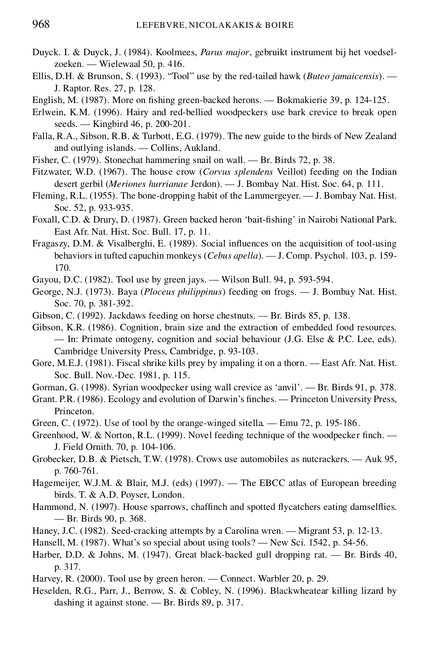- Duyck. I. & Duyck, J. (1984). Koolmees, *Parus major*, gebruikt instrument bij het voedsel zoeken. — Wielewaal 50, p. 416.
- Ellis, D.H. & Brunson, S. (1993). "Tool" use by the red-tailed hawk (*Buteo jamaicensis*). J. Raptor. Res. 27, p. 128.
- English, M. (1987). More on fishing green-backed herons. Bokmakierie 39, p. 124-125.
- Erlwein, K.M. (1996). Hairy and red-bellied woodpeckers use bark crevice to break open seeds. — Kingbird 46, p. 200-201.
- Falla, R.A., Sibson, R.B. & Turbott, E.G. (1979). The new guide to the birds of New Zealand and outlying islands. — Collins, Aukland.
- Fisher, C. (1979). Stonechat hammering snail on wall. Br. Birds 72, p. 38.
- Fitzwater, W.D. (1967). The house crow (*Corvus splendens* Veillot) feeding on the Indian desert gerbil (*Meriones hurrianae* Jerdon). — J. Bombay Nat. Hist. Soc. 64, p. 111.
- Fleming, R.L. (1955). The bone-dropping habit of the Lammergeyer. J. Bombay Nat. Hist. Soc. 52, p. 933-935.
- Foxall, C.D. & Drury, D. (1987). Green backed heron 'bait-fishing' in Nairobi National Park. East Afr. Nat. Hist. Soc. Bull. 17, p. 11.
- Fragaszy, D.M. & Visalberghi, E. (1989). Social influences on the acquisition of tool-using behaviors in tufted capuchin monkeys (*Cebus apella*). — J. Comp. Psychol. 103, p. 159- 170.

Gayou, D.C. (1982). Tool use by green jays. — Wilson Bull. 94, p. 593-594.

- George, N.J. (1973). Baya (*Ploceus philippinus*) feeding on frogs. J. Bombay Nat. Hist. Soc. 70, p. 381-392.
- Gibson, C. (1992). Jackdaws feeding on horse chestnuts. Br. Birds 85, p. 138.

Gibson, K.R. (1986). Cognition, brain size and the extraction of embedded food resources. — In: Primate ontogeny, cognition and social behaviour (J.G. Else & P.C. Lee, eds). Cambridge University Press, Cambridge, p. 93-103.

- Gore, M.E.J. (1981). Fiscal shrike kills prey by impaling it on a thorn. East Afr. Nat. Hist. Soc. Bull. Nov.-Dec. 1981, p. 115.
- Gorman, G. (1998). Syrian woodpecker using wall crevice as 'anvil'. Br. Birds 91, p. 378.

Grant. P.R. (1986). Ecology and evolution of Darwin's finches. — Princeton University Press, Princeton.

- Green, C. (1972). Use of tool by the orange-winged sitella. Emu 72, p. 195-186.
- Greenhood, W. & Norton, R.L. (1999). Novel feeding technique of the woodpecker finch. J. Field Ornith. 70, p. 104-106.
- Grobecker, D.B. & Pietsch, T.W. (1978). Crows use automobiles as nutcrackers. Auk 95, p. 760-761.
- Hagemeijer, W.J.M. & Blair, M.J. (eds) (1997). The EBCC atlas of European breeding birds. T. & A.D. Poyser, London.
- Hammond, N. (1997). House sparrows, chaffinch and spotted flycatchers eating damselflies. — Br. Birds 90, p. 368.
- Haney, J.C. (1982). Seed-cracking attempts by a Carolina wren. Migrant 53, p. 12-13.
- Hansell, M. (1987). What's so special about using tools? New Sci. 1542, p. 54-56.
- Harber, D.D. & Johns, M. (1947). Great black-backed gull dropping rat. Br. Birds 40, p. 317.
- Harvey, R. (2000). Tool use by green heron. Connect. Warbler 20, p. 29.
- Heselden, R.G., Parr, J., Berrow, S. & Cobley, N. (1996). Blackwheatear killing lizard by dashing it against stone. — Br. Birds 89, p. 317.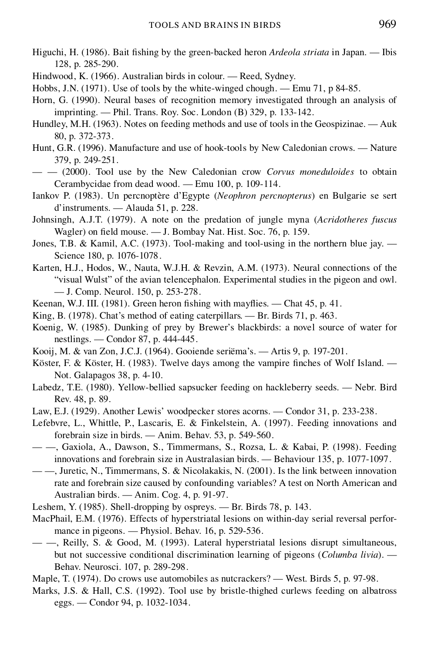- Higuchi, H. (1986). Bait fishing by the green-backed heron *Ardeola striata* in Japan. Ibis 128, p. 285-290.
- Hindwood, K. (1966). Australian birds in colour. Reed, Sydney.
- Hobbs, J.N. (1971). Use of tools by the white-winged chough. Emu 71, p 84-85.
- Horn, G. (1990). Neural bases of recognition memory investigated through an analysis of imprinting. — Phil. Trans. Roy. Soc. London (B) 329, p. 133-142.
- Hundley, M.H. (1963). Notes on feeding methods and use of tools in the Geospizinae. Auk 80, p. 372-373.
- Hunt, G.R. (1996). Manufacture and use of hook-tools by New Caledonian crows. Nature 379, p. 249-251.
- — (2000). Tool use by the New Caledonian crow *Corvus moneduloides* to obtain Cerambycidae from dead wood. — Emu 100, p. 109-114.
- Iankov P. (1983). Un percnoptère d'Egypte (*Neophron percnopterus*) en Bulgarie se sert d'instruments. — Alauda 51, p. 228.
- Johnsingh, A.J.T. (1979). A note on the predation of jungle myna (*Acridotheres fuscus* Wagler) on field mouse.  $-$  J. Bombay Nat. Hist. Soc. 76, p. 159.
- Jones, T.B. & Kamil, A.C. (1973). Tool-making and tool-using in the northern blue jay. Science 180, p. 1076-1078.
- Karten, H.J., Hodos, W., Nauta, W.J.H. & Revzin, A.M. (1973). Neural connections of the "visual Wulst" of the avian telencephalon. Experimental studies in the pigeon and owl. — J. Comp. Neurol. 150, p. 253-278.
- Keenan, W.J. III. (1981). Green heron fishing with may flies. Chat  $45$ , p.  $41$ .
- King, B. (1978). Chat's method of eating caterpillars. Br. Birds 71, p. 463.
- Koenig, W. (1985). Dunking of prey by Brewer's blackbirds: a novel source of water for nestlings. — Condor 87, p. 444-445.
- Kooij, M. & van Zon, J.C.J. (1964). Gooiende seriëma's. Artis 9, p. 197-201.
- Köster, F. & Köster, H. (1983). Twelve days among the vampire finches of Wolf Island. Not. Galapagos 38, p. 4-10.
- Labedz, T.E. (1980). Yellow-bellied sapsucker feeding on hackleberry seeds. Nebr. Bird Rev. 48, p. 89.
- Law, E.J. (1929). Another Lewis' woodpecker stores acorns. Condor 31, p. 233-238.
- Lefebvre, L., Whittle, P., Lascaris, E. & Finkelstein, A. (1997). Feeding innovations and forebrain size in birds. — Anim. Behav. 53, p. 549-560.
- —, Gaxiola, A., Dawson, S., Timmermans, S., Rozsa, L. & Kabai, P. (1998). Feeding innovations and forebrain size in Australasian birds. — Behaviour 135, p. 1077-1097.
- —, Juretic, N., Timmermans, S. & Nicolakakis, N. (2001). Is the link between innovation rate and forebrain size caused by confounding variables? A test on North American and Australian birds. — Anim. Cog. 4, p. 91-97.
- Leshem, Y. (1985). Shell-dropping by ospreys. Br. Birds 78, p. 143.
- MacPhail, E.M. (1976). Effects of hyperstriatal lesions on within-day serial reversal perfor mance in pigeons. — Physiol. Behav. 16, p. 529-536.
- —, Reilly, S. & Good, M. (1993). Lateral hyperstriatal lesions disrupt simultaneous, but not successive conditional discrimination learning of pigeons (*Columba livia*). — Behav. Neurosci. 107, p. 289-298.
- Maple, T. (1974). Do crows use automobiles as nutcrackers? West. Birds 5, p. 97-98.
- Marks, J.S. & Hall, C.S. (1992). Tool use by bristle-thighed curlews feeding on albatross eggs. — Condor 94, p. 1032-1034.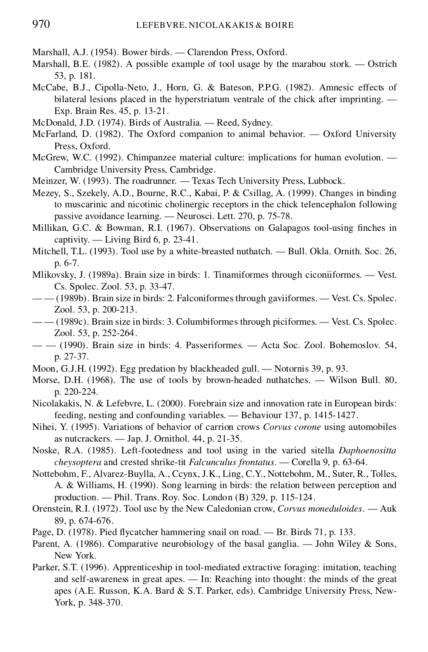- Marshall, A.J. (1954). Bower birds. Clarendon Press, Oxford.
- Marshall, B.E. (1982). A possible example of tool usage by the marabou stork. Ostrich 53, p. 181.
- McCabe, B.J., Cipolla-Neto, J., Horn, G. & Bateson, P.P.G. (1982). Amnesic effects of bilateral lesions placed in the hyperstriatum ventrale of the chick after imprinting. — Exp. Brain Res. 45, p. 13-21.
- McDonald, J.D. (1974). Birds of Australia. Reed, Sydney.
- McFarland, D. (1982). The Oxford companion to animal behavior. Oxford University Press, Oxford.
- McGrew, W.C. (1992). Chimpanzee material culture: implications for human evolution. Cambridge University Press, Cambridge.
- Meinzer, W. (1993). The roadrunner. Texas Tech University Press, Lubbock.
- Mezey, S., Szekely, A.D., Bourne, R.C., Kabai, P. & Csillag, A. (1999). Changes in binding to muscarinic and nicotinic cholinergic receptors in the chick telencephalon following passive avoidance learning. — Neurosci. Lett. 270, p. 75-78.
- Millikan, G.C. & Bowman, R.I. (1967). Observations on Galapagos tool-using nches in captivity. — Living Bird 6, p. 23-41.
- Mitchell, T.L. (1993). Tool use by a white-breasted nuthatch. Bull. Okla. Ornith. Soc. 26, p. 6-7.
- Mlikovsky, J. (1989a). Brain size in birds: 1. Tinamiformes through ciconiiformes. Vest. Cs. Spolec. Zool. 53, p. 33-47.
- — (1989b). Brain size in birds: 2. Falconiformes through gaviiformes. Vest. Cs. Spolec. Zool. 53, p. 200-213.
- — (1989c). Brain size in birds: 3. Columbiformes through piciformes. Vest. Cs. Spolec. Zool. 53, p. 252-264.
- — (1990). Brain size in birds: 4. Passeriformes. Acta Soc. Zool. Bohemoslov. 54, p. 27-37.
- Moon, G.J.H. (1992). Egg predation by blackheaded gull. Notornis 39, p. 93.
- Morse, D.H. (1968). The use of tools by brown-headed nuthatches. Wilson Bull. 80, p. 220-224.
- Nicolakakis, N. & Lefebvre, L. (2000). Forebrain size and innovation rate in European birds: feeding, nesting and confounding variables. — Behaviour 137, p. 1415-1427.
- Nihei, Y. (1995). Variations of behavior of carrion crows *Corvus corone* using automobiles as nutcrackers. — Jap. J. Ornithol. 44, p. 21-35.
- Noske, R.A. (1985). Left-footedness and tool using in the varied sitella *Daphoenositta cheysoptera* and crested shrike-tit *Falcunculus frontatus*. — Corella 9, p. 63-64.
- Nottebohm, F., Alvarez-Buylla, A., Ccynx, J.K., Ling, C.Y., Nottebohm, M., Suter, R., Tolles, A. & Williams, H. (1990). Song learning in birds: the relation between perception and production. — Phil. Trans. Roy. Soc. London (B) 329, p. 115-124.
- Orenstein, R.I. (1972). Tool use by the New Caledonian crow, *Corvus moneduloides.* Auk 89, p. 674-676.
- Page, D. (1978). Pied flycatcher hammering snail on road. Br. Birds 71, p. 133.
- Parent, A. (1986). Comparative neurobiology of the basal ganglia. John Wiley & Sons, New York.
- Parker, S.T. (1996). Apprenticeship in tool-mediated extractive foraging: imitation, teaching and self-awareness in great apes. — In: Reaching into thought: the minds of the great apes (A.E. Russon, K.A. Bard & S.T. Parker, eds). Cambridge University Press, New- York, p. 348-370.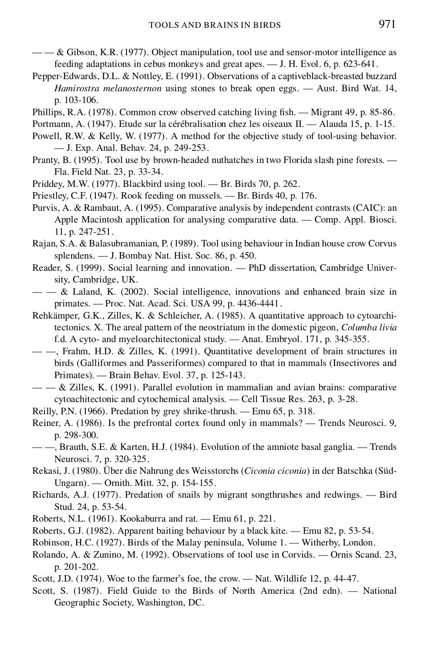- $-\alpha$  & Gibson, K.R. (1977). Object manipulation, tool use and sensor-motor intelligence as feeding adaptations in cebus monkeys and great apes. — J. H. Evol. 6, p. 623-641.
- Pepper-Edwards, D.L. & Nottley, E. (1991). Observations of a captiveblack-breasted buzzard *Hamirostra melanosternon* using stones to break open eggs. — Aust. Bird Wat. 14, p. 103-106.
- Phillips, R.A.  $(1978)$ . Common crow observed catching living fish. Migrant 49, p. 85-86.
- Portmann, A. (1947). Etude sur la cérébralisation chez les oiseaux II. Alauda 15, p. 1-15.
- Powell, R.W. & Kelly, W. (1977). A method for the objective study of tool-using behavior. — J. Exp. Anal. Behav. 24, p. 249-253.
- Pranty, B. (1995). Tool use by brown-headed nuthatches in two Florida slash pine forests. Fla. Field Nat. 23, p. 33-34.
- Priddey, M.W. (1977). Blackbird using tool. Br. Birds 70, p. 262.
- Priestley, C.F. (1947). Rook feeding on mussels. Br. Birds 40, p. 176.
- Purvis, A. & Rambaut, A. (1995). Comparative analysis by independent contrasts (CAIC): an Apple Macintosh application for analysing comparative data. — Comp. Appl. Biosci. 11, p. 247-251.
- Rajan, S.A. & Balasubramanian, P. (1989). Tool using behaviour in Indian house crow Corvus splendens. — J. Bombay Nat. Hist. Soc. 86, p. 450.
- Reader, S. (1999). Social learning and innovation. PhD dissertation, Cambridge University, Cambridge, UK.
- — & Laland, K. (2002). Social intelligence, innovations and enhanced brain size in primates. — Proc. Nat. Acad. Sci. USA 99, p. 4436-4441.
- Rehkämper, G.K., Zilles, K. & Schleicher, A. (1985). A quantitative approach to cytoarchitectonics. X. The areal pattern of the neostriatum in the domestic pigeon, *Columba livia* f.d. A cyto- and myeloarchitectonical study. — Anat. Embryol. 171, p. 345-355.
- —, Frahm, H.D. & Zilles, K. (1991). Quantitative development of brain structures in birds (Galliformes and Passeriformes) compared to that in mammals (Insectivores and Primates). — Brain Behav. Evol. 37, p. 125-143.
- $-\frac{1}{2}$  & Zilles, K. (1991). Parallel evolution in mammalian and avian brains: comparative cytoachitectonic and cytochemical analysis. — Cell Tissue Res. 263, p. 3-28.
- Reilly, P.N. (1966). Predation by grey shrike-thrush. Emu 65, p. 318.
- Reiner, A. (1986). Is the prefrontal cortex found only in mammals? Trends Neurosci. 9, p. 298-300.
- —, Brauth, S.E. & Karten, H.J. (1984). Evolution of the amniote basal ganglia. Trends Neurosci. 7, p. 320-325.
- Rekasi, J. (1980). Über die Nahrung des Weisstorchs (*Ciconia ciconia*) in der Batschka (Süd-Ungarn). — Ornith. Mitt. 32, p. 154-155.
- Richards, A.J. (1977). Predation of snails by migrant songthrushes and redwings. Bird Stud. 24, p. 53-54.
- Roberts, N.L. (1961). Kookaburra and rat. Emu 61, p. 221.
- Roberts, G.J. (1982). Apparent baiting behaviour by a black kite. Emu 82, p. 53-54.
- Robinson, H.C. (1927). Birds of the Malay peninsula, Volume 1. Witherby, London.
- Rolando, A. & Zunino, M. (1992). Observations of tool use in Corvids. Ornis Scand. 23, p. 201-202.
- Scott, J.D. (1974). Woe to the farmer's foe, the crow. Nat. Wildlife 12, p. 44-47.
- Scott, S. (1987). Field Guide to the Birds of North America (2nd edn). National Geographic Society, Washington, DC.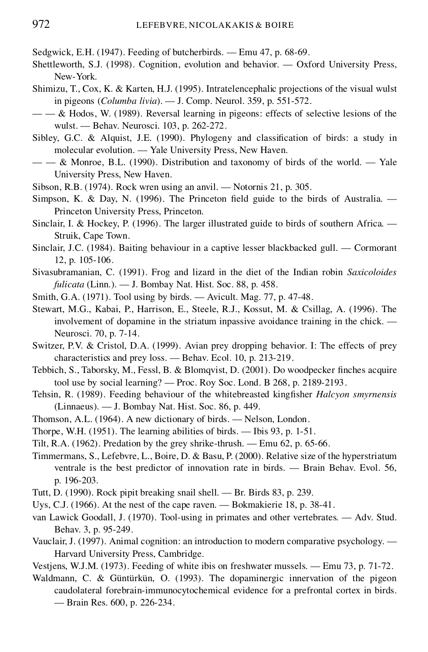Sedgwick, E.H. (1947). Feeding of butcherbirds. — Emu 47, p. 68-69.

- Shettleworth, S.J. (1998). Cognition, evolution and behavior. Oxford University Press, New-York.
- Shimizu, T., Cox, K. & Karten, H.J. (1995). Intratelencephalic projections of the visual wulst in pigeons (*Columba livia*). — J. Comp. Neurol. 359, p. 551-572.
- $-\frac{1}{x} \&$  Hodos, W. (1989). Reversal learning in pigeons: effects of selective lesions of the wulst. — Behav. Neurosci. 103, p. 262-272.
- Sibley, G.C. & Alquist, J.E.  $(1990)$ . Phylogeny and classification of birds: a study in molecular evolution. — Yale University Press, New Haven.
- $-\frac{1}{2}$  Monroe, B.L. (1990). Distribution and taxonomy of birds of the world.  $-\frac{1}{2}$  Yale University Press, New Haven.
- Sibson, R.B. (1974). Rock wren using an anvil. Notornis 21, p. 305.
- Simpson, K. & Day, N. (1996). The Princeton field guide to the birds of Australia.  $-$ Princeton University Press, Princeton.
- Sinclair, I. & Hockey, P. (1996). The larger illustrated guide to birds of southern Africa. Struik, Cape Town.
- Sinclair, J.C. (1984). Baiting behaviour in a captive lesser blackbacked gull. Cormorant 12, p. 105-106.
- Sivasubramanian, C. (1991). Frog and lizard in the diet of the Indian robin *Saxicoloides fulicata* (Linn.). — J. Bombay Nat. Hist. Soc. 88, p. 458.
- Smith, G.A. (1971). Tool using by birds. Avicult. Mag. 77, p. 47-48.
- Stewart, M.G., Kabai, P., Harrison, E., Steele, R.J., Kossut, M. & Csillag, A. (1996). The involvement of dopamine in the striatum inpassive avoidance training in the chick. — Neurosci. 70, p. 7-14.
- Switzer, P.V. & Cristol, D.A. (1999). Avian prey dropping behavior. I: The effects of prey characteristics and prey loss. — Behav. Ecol. 10, p. 213-219.
- Tebbich, S., Taborsky, M., Fessl, B. & Blomqvist, D. (2001). Do woodpecker finches acquire tool use by social learning? — Proc.Roy Soc. Lond. B 268, p. 2189-2193.
- Tehsin, R. (1989). Feeding behaviour of the whitebreasted king fisher *Halcyon smyrnensis* (Linnaeus). — J. Bombay Nat. Hist. Soc. 86, p. 449.
- Thomson, A.L. (1964). A new dictionary of birds. Nelson, London.
- Thorpe, W.H. (1951). The learning abilities of birds. Ibis 93, p. 1-51.
- Tilt, R.A. (1962). Predation by the grey shrike-thrush. Emu 62, p. 65-66.
- Timmermans, S., Lefebvre, L., Boire, D. & Basu, P. (2000). Relative size of the hyperstriatum ventrale is the best predictor of innovation rate in birds. — Brain Behav. Evol. 56, p. 196-203.
- Tutt, D. (1990). Rock pipit breaking snail shell. Br. Birds 83, p. 239.
- Uys, C.J. (1966). At the nest of the cape raven. Bokmakierie 18, p. 38-41.
- van Lawick Goodall, J. (1970). Tool-using in primates and other vertebrates. Adv. Stud. Behav. 3, p. 95-249.
- Vauclair, J. (1997). Animal cognition: an introduction to modern comparative psychology. Harvard University Press, Cambridge.
- Vestjens, W.J.M. (1973). Feeding of white ibis on freshwater mussels. Emu 73, p. 71-72.
- Waldmann, C. & Güntürkün, O. (1993). The dopaminergic innervation of the pigeon caudolateral forebrain-immunocytochemical evidence for a prefrontal cortex in birds. — Brain Res. 600, p. 226-234.